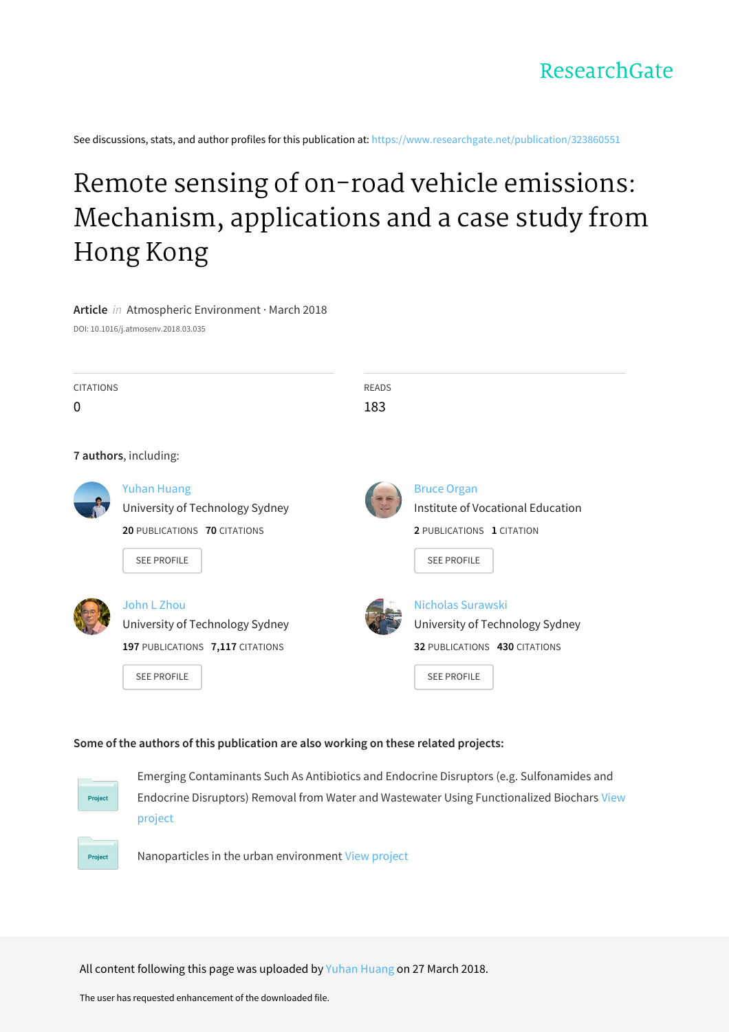See discussions, stats, and author profiles for this publication at: [https://www.researchgate.net/publication/323860551](https://www.researchgate.net/publication/323860551_Remote_sensing_of_on-road_vehicle_emissions_Mechanism_applications_and_a_case_study_from_Hong_Kong?enrichId=rgreq-291d107776d4d8ccf5d44b42fcef837a-XXX&enrichSource=Y292ZXJQYWdlOzMyMzg2MDU1MTtBUzo2MDg2MzczOTU0MjMyMzNAMTUyMjEyMTg3MTkzOQ%3D%3D&el=1_x_2&_esc=publicationCoverPdf)

# Remote sensing of on-road vehicle emissions: [Mechanism,](https://www.researchgate.net/publication/323860551_Remote_sensing_of_on-road_vehicle_emissions_Mechanism_applications_and_a_case_study_from_Hong_Kong?enrichId=rgreq-291d107776d4d8ccf5d44b42fcef837a-XXX&enrichSource=Y292ZXJQYWdlOzMyMzg2MDU1MTtBUzo2MDg2MzczOTU0MjMyMzNAMTUyMjEyMTg3MTkzOQ%3D%3D&el=1_x_3&_esc=publicationCoverPdf) applications and a case study from Hong Kong

# **Article** in Atmospheric Environment · March 2018

DOI: 10.1016/j.atmosenv.2018.03.035

| <b>CITATIONS</b> |                                                                                                                    | <b>READS</b> |                                                                                                                   |
|------------------|--------------------------------------------------------------------------------------------------------------------|--------------|-------------------------------------------------------------------------------------------------------------------|
| $\Omega$         |                                                                                                                    | 183          |                                                                                                                   |
|                  | 7 authors, including:                                                                                              |              |                                                                                                                   |
|                  | <b>Yuhan Huang</b><br>University of Technology Sydney<br><b>20 PUBLICATIONS 70 CITATIONS</b><br><b>SEE PROFILE</b> |              | <b>Bruce Organ</b><br>Institute of Vocational Education<br><b>2 PUBLICATIONS 1 CITATION</b><br><b>SEE PROFILE</b> |
|                  | John L Zhou<br>University of Technology Sydney<br>197 PUBLICATIONS 7,117 CITATIONS<br><b>SEE PROFILE</b>           |              | Nicholas Surawski<br>University of Technology Sydney<br>32 PUBLICATIONS 430 CITATIONS<br><b>SEE PROFILE</b>       |

# **Some of the authors of this publication are also working on these related projects:**



Emerging Contaminants Such As Antibiotics and Endocrine Disruptors (e.g. Sulfonamides and Endocrine Disruptors) Removal from Water and Wastewater Using [Functionalized](https://www.researchgate.net/project/Emerging-Contaminants-Such-As-Antibiotics-and-Endocrine-Disruptors-eg-Sulfonamides-and-Endocrine-Disruptors-Removal-from-Water-and-Wastewater-Using-Functionalized-Biochars?enrichId=rgreq-291d107776d4d8ccf5d44b42fcef837a-XXX&enrichSource=Y292ZXJQYWdlOzMyMzg2MDU1MTtBUzo2MDg2MzczOTU0MjMyMzNAMTUyMjEyMTg3MTkzOQ%3D%3D&el=1_x_9&_esc=publicationCoverPdf) Biochars View project



Nanoparticles in the urban environment View [project](https://www.researchgate.net/project/Nanoparticles-in-the-urban-environment?enrichId=rgreq-291d107776d4d8ccf5d44b42fcef837a-XXX&enrichSource=Y292ZXJQYWdlOzMyMzg2MDU1MTtBUzo2MDg2MzczOTU0MjMyMzNAMTUyMjEyMTg3MTkzOQ%3D%3D&el=1_x_9&_esc=publicationCoverPdf)

All content following this page was uploaded by Yuhan [Huang](https://www.researchgate.net/profile/Yuhan_Huang4?enrichId=rgreq-291d107776d4d8ccf5d44b42fcef837a-XXX&enrichSource=Y292ZXJQYWdlOzMyMzg2MDU1MTtBUzo2MDg2MzczOTU0MjMyMzNAMTUyMjEyMTg3MTkzOQ%3D%3D&el=1_x_10&_esc=publicationCoverPdf) on 27 March 2018.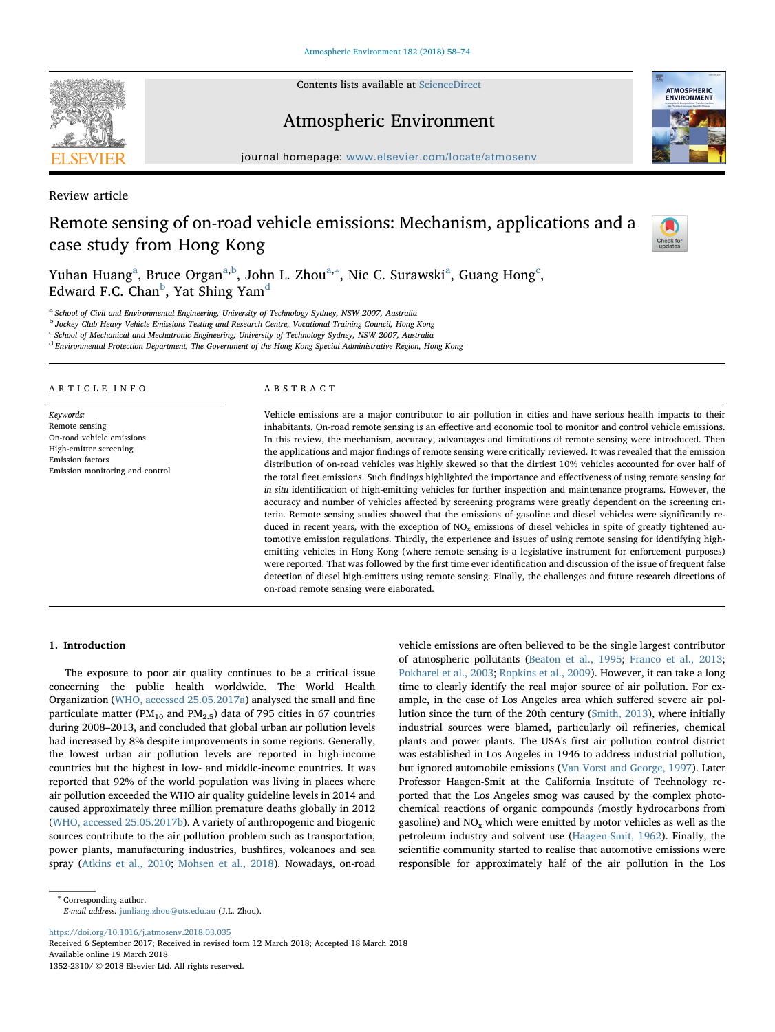Contents lists available at [ScienceDirect](http://www.sciencedirect.com/science/journal/13522310)

# Atmospheric Environment

journal homepage: [www.elsevier.com/locate/atmosenv](https://www.elsevier.com/locate/atmosenv)

Review article

# Remote sensing of on-road vehicle emissions: Mechanism, applications and a case study from Hong Kong

Yuh[a](#page-1-0)n Huang<sup>a</sup>, Bruce Organ<sup>a,[b](#page-1-1)</sup>, John L. Zhou<sup>[a,](#page-1-0)\*</sup>, Ni[c](#page-1-3) C. Surawski<sup>a</sup>, Guang Hong<sup>c</sup>, E[d](#page-1-4)ward F.C. Chan $^{\rm b}$  $^{\rm b}$  $^{\rm b}$ , Yat Shing Yam $^{\rm d}$ 

<span id="page-1-1"></span><span id="page-1-0"></span><sup>a</sup> School of Civil and Environmental Engineering, University of Technology Sydney, NSW 2007, Australia <sup>b</sup> Jockey Club Heavy Vehicle Emissions Testing and Research Centre, Vocational Training Council, Hong Kong

<span id="page-1-3"></span><sup>c</sup> School of Mechanical and Mechatronic Engineering, University of Technology Sydney, NSW 2007, Australia

<span id="page-1-4"></span><sup>d</sup> Environmental Protection Department, The Government of the Hong Kong Special Administrative Region, Hong Kong

# ARTICLE INFO

Keywords: Remote sensing On-road vehicle emissions High-emitter screening Emission factors Emission monitoring and control

# ABSTRACT

Vehicle emissions are a major contributor to air pollution in cities and have serious health impacts to their inhabitants. On-road remote sensing is an effective and economic tool to monitor and control vehicle emissions. In this review, the mechanism, accuracy, advantages and limitations of remote sensing were introduced. Then the applications and major findings of remote sensing were critically reviewed. It was revealed that the emission distribution of on-road vehicles was highly skewed so that the dirtiest 10% vehicles accounted for over half of the total fleet emissions. Such findings highlighted the importance and effectiveness of using remote sensing for in situ identification of high-emitting vehicles for further inspection and maintenance programs. However, the accuracy and number of vehicles affected by screening programs were greatly dependent on the screening criteria. Remote sensing studies showed that the emissions of gasoline and diesel vehicles were significantly reduced in recent years, with the exception of  $NO_x$  emissions of diesel vehicles in spite of greatly tightened automotive emission regulations. Thirdly, the experience and issues of using remote sensing for identifying highemitting vehicles in Hong Kong (where remote sensing is a legislative instrument for enforcement purposes) were reported. That was followed by the first time ever identification and discussion of the issue of frequent false detection of diesel high-emitters using remote sensing. Finally, the challenges and future research directions of on-road remote sensing were elaborated.

#### 1. Introduction

The exposure to poor air quality continues to be a critical issue concerning the public health worldwide. The World Health Organization [\(WHO, accessed 25.05.2017a](#page-17-0)) analysed the small and fine particulate matter (PM<sub>10</sub> and PM<sub>2.5</sub>) data of 795 cities in 67 countries during 2008–2013, and concluded that global urban air pollution levels had increased by 8% despite improvements in some regions. Generally, the lowest urban air pollution levels are reported in high-income countries but the highest in low- and middle-income countries. It was reported that 92% of the world population was living in places where air pollution exceeded the WHO air quality guideline levels in 2014 and caused approximately three million premature deaths globally in 2012 ([WHO, accessed 25.05.2017b\)](#page-17-1). A variety of anthropogenic and biogenic sources contribute to the air pollution problem such as transportation, power plants, manufacturing industries, bushfires, volcanoes and sea spray [\(Atkins et al., 2010](#page-15-0); [Mohsen et al., 2018\)](#page-17-2). Nowadays, on-road

vehicle emissions are often believed to be the single largest contributor of atmospheric pollutants ([Beaton et al., 1995](#page-15-1); [Franco et al., 2013](#page-16-0); [Pokharel et al., 2003;](#page-17-3) [Ropkins et al., 2009](#page-17-4)). However, it can take a long time to clearly identify the real major source of air pollution. For example, in the case of Los Angeles area which suffered severe air pollution since the turn of the 20th century ([Smith, 2013](#page-17-5)), where initially industrial sources were blamed, particularly oil refineries, chemical plants and power plants. The USA's first air pollution control district was established in Los Angeles in 1946 to address industrial pollution, but ignored automobile emissions ([Van Vorst and George, 1997](#page-17-6)). Later Professor Haagen-Smit at the California Institute of Technology reported that the Los Angeles smog was caused by the complex photochemical reactions of organic compounds (mostly hydrocarbons from gasoline) and  $NO<sub>x</sub>$  which were emitted by motor vehicles as well as the petroleum industry and solvent use [\(Haagen-Smit, 1962\)](#page-16-1). Finally, the scientific community started to realise that automotive emissions were responsible for approximately half of the air pollution in the Los

E-mail address: [junliang.zhou@uts.edu.au](mailto:junliang.zhou@uts.edu.au) (J.L. Zhou).

<https://doi.org/10.1016/j.atmosenv.2018.03.035> Received 6 September 2017; Received in revised form 12 March 2018; Accepted 18 March 2018

Available online 19 March 2018 1352-2310/ © 2018 Elsevier Ltd. All rights reserved.





Check for<br>updates

<span id="page-1-2"></span><sup>∗</sup> Corresponding author.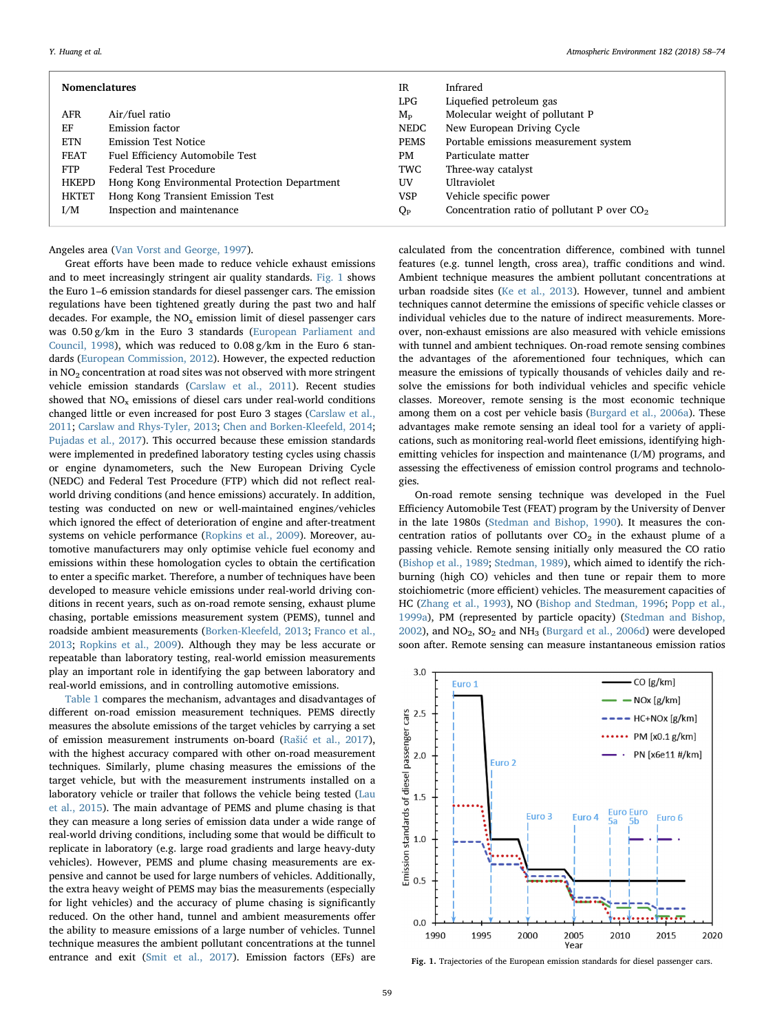| <b>Nomenclatures</b> |  |
|----------------------|--|
|                      |  |
|                      |  |
|                      |  |
|                      |  |
|                      |  |
|                      |  |
|                      |  |
|                      |  |
|                      |  |
|                      |  |

#### Angeles area [\(Van Vorst and George, 1997\)](#page-17-6).

Great efforts have been made to reduce vehicle exhaust emissions and to meet increasingly stringent air quality standards. [Fig. 1](#page-2-0) shows the Euro 1–6 emission standards for diesel passenger cars. The emission regulations have been tightened greatly during the past two and half decades. For example, the  $NO<sub>x</sub>$  emission limit of diesel passenger cars was 0.50 g/km in the Euro 3 standards ([European Parliament and](#page-16-2) [Council, 1998\)](#page-16-2), which was reduced to 0.08 g/km in the Euro 6 standards [\(European Commission, 2012\)](#page-16-3). However, the expected reduction in NO<sub>2</sub> concentration at road sites was not observed with more stringent vehicle emission standards ([Carslaw et al., 2011\)](#page-16-4). Recent studies showed that  $\mathrm{NO_x}$  emissions of diesel cars under real-world conditions changed little or even increased for post Euro 3 stages ([Carslaw et al.,](#page-16-4) [2011;](#page-16-4) [Carslaw and Rhys-Tyler, 2013;](#page-16-5) [Chen and Borken-Kleefeld, 2014](#page-16-6); [Pujadas et al., 2017](#page-17-7)). This occurred because these emission standards were implemented in predefined laboratory testing cycles using chassis or engine dynamometers, such the New European Driving Cycle (NEDC) and Federal Test Procedure (FTP) which did not reflect realworld driving conditions (and hence emissions) accurately. In addition, testing was conducted on new or well-maintained engines/vehicles which ignored the effect of deterioration of engine and after-treatment systems on vehicle performance ([Ropkins et al., 2009](#page-17-4)). Moreover, automotive manufacturers may only optimise vehicle fuel economy and emissions within these homologation cycles to obtain the certification to enter a specific market. Therefore, a number of techniques have been developed to measure vehicle emissions under real-world driving conditions in recent years, such as on-road remote sensing, exhaust plume chasing, portable emissions measurement system (PEMS), tunnel and roadside ambient measurements ([Borken-Kleefeld, 2013;](#page-16-7) [Franco et al.,](#page-16-0) [2013;](#page-16-0) [Ropkins et al., 2009](#page-17-4)). Although they may be less accurate or repeatable than laboratory testing, real-world emission measurements play an important role in identifying the gap between laboratory and real-world emissions, and in controlling automotive emissions.

[Table 1](#page-3-0) compares the mechanism, advantages and disadvantages of different on-road emission measurement techniques. PEMS directly measures the absolute emissions of the target vehicles by carrying a set of emission measurement instruments on-board (Rašić [et al., 2017](#page-17-8)), with the highest accuracy compared with other on-road measurement techniques. Similarly, plume chasing measures the emissions of the target vehicle, but with the measurement instruments installed on a laboratory vehicle or trailer that follows the vehicle being tested ([Lau](#page-16-8) [et al., 2015\)](#page-16-8). The main advantage of PEMS and plume chasing is that they can measure a long series of emission data under a wide range of real-world driving conditions, including some that would be difficult to replicate in laboratory (e.g. large road gradients and large heavy-duty vehicles). However, PEMS and plume chasing measurements are expensive and cannot be used for large numbers of vehicles. Additionally, the extra heavy weight of PEMS may bias the measurements (especially for light vehicles) and the accuracy of plume chasing is significantly reduced. On the other hand, tunnel and ambient measurements offer the ability to measure emissions of a large number of vehicles. Tunnel technique measures the ambient pollutant concentrations at the tunnel entrance and exit [\(Smit et al., 2017\)](#page-17-9). Emission factors (EFs) are

| LPG         | Liquefied petroleum gas                                        |
|-------------|----------------------------------------------------------------|
| $M_{\rm p}$ | Molecular weight of pollutant P                                |
| NEDC.       | New European Driving Cycle                                     |
| <b>PEMS</b> | Portable emissions measurement system                          |
| PM.         | Particulate matter                                             |
| TWC         | Three-way catalyst                                             |
| UV          | Ultraviolet                                                    |
| VSP         | Vehicle specific power                                         |
| $Q_{\rm p}$ | Concentration ratio of pollutant P over $CO2$                  |
|             |                                                                |
|             |                                                                |
|             | calculated from the concentration difference combined with tun |

concentration difference, combined with tunnel features (e.g. tunnel length, cross area), traffic conditions and wind. Ambient technique measures the ambient pollutant concentrations at urban roadside sites ([Ke et al., 2013\)](#page-16-9). However, tunnel and ambient techniques cannot determine the emissions of specific vehicle classes or individual vehicles due to the nature of indirect measurements. Moreover, non-exhaust emissions are also measured with vehicle emissions with tunnel and ambient techniques. On-road remote sensing combines the advantages of the aforementioned four techniques, which can measure the emissions of typically thousands of vehicles daily and resolve the emissions for both individual vehicles and specific vehicle classes. Moreover, remote sensing is the most economic technique among them on a cost per vehicle basis ([Burgard et al., 2006a](#page-16-10)). These advantages make remote sensing an ideal tool for a variety of applications, such as monitoring real-world fleet emissions, identifying highemitting vehicles for inspection and maintenance (I/M) programs, and assessing the effectiveness of emission control programs and technologies.

On-road remote sensing technique was developed in the Fuel Efficiency Automobile Test (FEAT) program by the University of Denver in the late 1980s ([Stedman and Bishop, 1990](#page-17-10)). It measures the concentration ratios of pollutants over  $CO<sub>2</sub>$  in the exhaust plume of a passing vehicle. Remote sensing initially only measured the CO ratio ([Bishop et al., 1989;](#page-16-11) [Stedman, 1989](#page-17-11)), which aimed to identify the richburning (high CO) vehicles and then tune or repair them to more stoichiometric (more efficient) vehicles. The measurement capacities of HC [\(Zhang et al., 1993](#page-17-12)), NO [\(Bishop and Stedman, 1996](#page-16-12); [Popp et al.,](#page-17-13) [1999a\)](#page-17-13), PM (represented by particle opacity) [\(Stedman and Bishop,](#page-17-14)  $2002$ ), and NO<sub>2</sub>, SO<sub>2</sub> and NH<sub>3</sub> [\(Burgard et al., 2006d](#page-16-13)) were developed soon after. Remote sensing can measure instantaneous emission ratios

<span id="page-2-0"></span>

Fig. 1. Trajectories of the European emission standards for diesel passenger cars.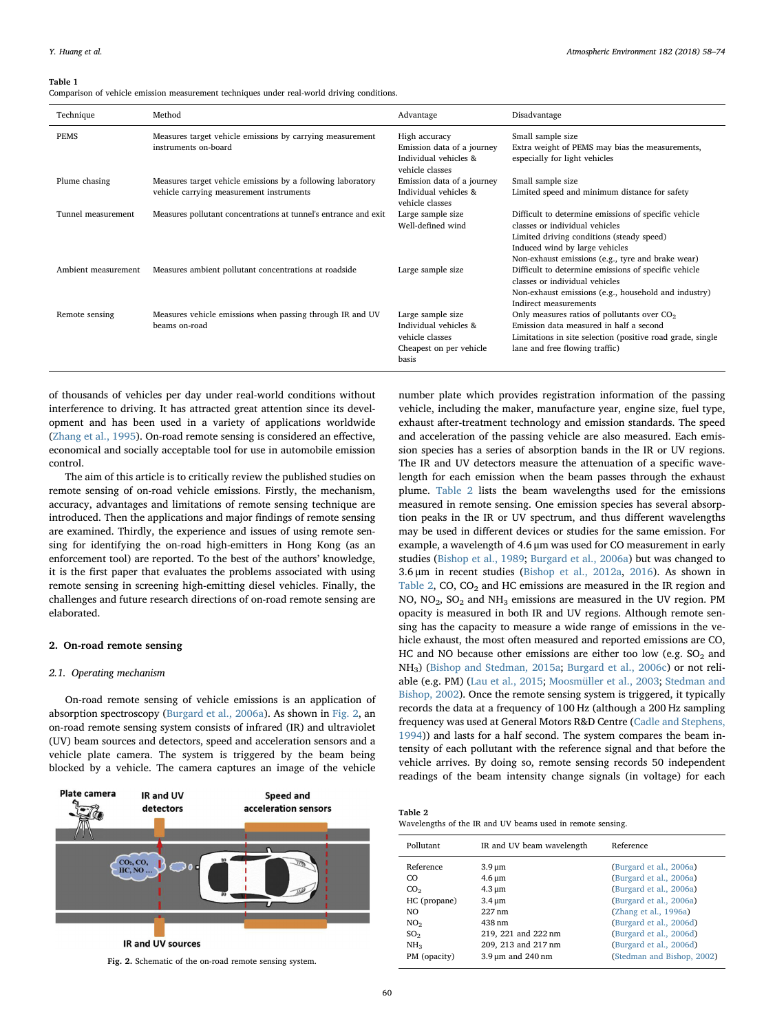<span id="page-3-0"></span>Comparison of vehicle emission measurement techniques under real-world driving conditions.

| Technique           | Method                                                                                                  | Advantage                                                                                         | Disadvantage                                                                                                                                                                                                               |
|---------------------|---------------------------------------------------------------------------------------------------------|---------------------------------------------------------------------------------------------------|----------------------------------------------------------------------------------------------------------------------------------------------------------------------------------------------------------------------------|
| <b>PEMS</b>         | Measures target vehicle emissions by carrying measurement<br>instruments on-board                       | High accuracy<br>Emission data of a journey<br>Individual vehicles &<br>vehicle classes           | Small sample size<br>Extra weight of PEMS may bias the measurements,<br>especially for light vehicles                                                                                                                      |
| Plume chasing       | Measures target vehicle emissions by a following laboratory<br>vehicle carrying measurement instruments | Emission data of a journey<br>Individual vehicles &<br>vehicle classes                            | Small sample size<br>Limited speed and minimum distance for safety                                                                                                                                                         |
| Tunnel measurement  | Measures pollutant concentrations at tunnel's entrance and exit                                         | Large sample size<br>Well-defined wind                                                            | Difficult to determine emissions of specific vehicle<br>classes or individual vehicles<br>Limited driving conditions (steady speed)<br>Induced wind by large vehicles<br>Non-exhaust emissions (e.g., tyre and brake wear) |
| Ambient measurement | Measures ambient pollutant concentrations at roadside                                                   | Large sample size                                                                                 | Difficult to determine emissions of specific vehicle<br>classes or individual vehicles<br>Non-exhaust emissions (e.g., household and industry)<br>Indirect measurements                                                    |
| Remote sensing      | Measures vehicle emissions when passing through IR and UV<br>beams on-road                              | Large sample size<br>Individual vehicles &<br>vehicle classes<br>Cheapest on per vehicle<br>basis | Only measures ratios of pollutants over $CO2$<br>Emission data measured in half a second<br>Limitations in site selection (positive road grade, single<br>lane and free flowing traffic)                                   |

of thousands of vehicles per day under real-world conditions without interference to driving. It has attracted great attention since its development and has been used in a variety of applications worldwide ([Zhang et al., 1995](#page-17-15)). On-road remote sensing is considered an effective, economical and socially acceptable tool for use in automobile emission control.

The aim of this article is to critically review the published studies on remote sensing of on-road vehicle emissions. Firstly, the mechanism, accuracy, advantages and limitations of remote sensing technique are introduced. Then the applications and major findings of remote sensing are examined. Thirdly, the experience and issues of using remote sensing for identifying the on-road high-emitters in Hong Kong (as an enforcement tool) are reported. To the best of the authors' knowledge, it is the first paper that evaluates the problems associated with using remote sensing in screening high-emitting diesel vehicles. Finally, the challenges and future research directions of on-road remote sensing are elaborated.

#### 2. On-road remote sensing

# <span id="page-3-3"></span>2.1. Operating mechanism

On-road remote sensing of vehicle emissions is an application of absorption spectroscopy [\(Burgard et al., 2006a\)](#page-16-10). As shown in [Fig. 2,](#page-3-1) an on-road remote sensing system consists of infrared (IR) and ultraviolet (UV) beam sources and detectors, speed and acceleration sensors and a vehicle plate camera. The system is triggered by the beam being blocked by a vehicle. The camera captures an image of the vehicle

<span id="page-3-1"></span>

Fig. 2. Schematic of the on-road remote sensing system.

number plate which provides registration information of the passing vehicle, including the maker, manufacture year, engine size, fuel type, exhaust after-treatment technology and emission standards. The speed and acceleration of the passing vehicle are also measured. Each emission species has a series of absorption bands in the IR or UV regions. The IR and UV detectors measure the attenuation of a specific wavelength for each emission when the beam passes through the exhaust plume. [Table 2](#page-3-2) lists the beam wavelengths used for the emissions measured in remote sensing. One emission species has several absorption peaks in the IR or UV spectrum, and thus different wavelengths may be used in different devices or studies for the same emission. For example, a wavelength of 4.6 μm was used for CO measurement in early studies [\(Bishop et al., 1989](#page-16-11); [Burgard et al., 2006a](#page-16-10)) but was changed to 3.6 μm in recent studies ([Bishop et al., 2012a,](#page-15-2) [2016](#page-16-14)). As shown in [Table 2](#page-3-2),  $CO$ ,  $CO<sub>2</sub>$  and HC emissions are measured in the IR region and NO, NO<sub>2</sub>, SO<sub>2</sub> and NH<sub>3</sub> emissions are measured in the UV region. PM opacity is measured in both IR and UV regions. Although remote sensing has the capacity to measure a wide range of emissions in the vehicle exhaust, the most often measured and reported emissions are CO, HC and NO because other emissions are either too low (e.g.  $SO<sub>2</sub>$  and NH3) ([Bishop and Stedman, 2015a](#page-16-15); [Burgard et al., 2006c\)](#page-16-16) or not reliable (e.g. PM) ([Lau et al., 2015](#page-16-8); [Moosmüller et al., 2003;](#page-17-16) [Stedman and](#page-17-14) [Bishop, 2002\)](#page-17-14). Once the remote sensing system is triggered, it typically records the data at a frequency of 100 Hz (although a 200 Hz sampling frequency was used at General Motors R&D Centre [\(Cadle and Stephens,](#page-16-17) [1994\)](#page-16-17)) and lasts for a half second. The system compares the beam intensity of each pollutant with the reference signal and that before the vehicle arrives. By doing so, remote sensing records 50 independent readings of the beam intensity change signals (in voltage) for each

<span id="page-3-2"></span>

| Table 2                                                    |  |
|------------------------------------------------------------|--|
| Wavelengths of the IR and UV beams used in remote sensing. |  |

| Pollutant                                                                                                           | IR and UV beam wavelength                                                                                                                                                | Reference                                                                                                                                                                                                          |  |
|---------------------------------------------------------------------------------------------------------------------|--------------------------------------------------------------------------------------------------------------------------------------------------------------------------|--------------------------------------------------------------------------------------------------------------------------------------------------------------------------------------------------------------------|--|
| Reference<br>CO.<br>CO <sub>2</sub><br>HC (propane)<br>NO.<br>NO <sub>2</sub><br>SO <sub>2</sub><br>NH <sub>3</sub> | $3.9 \,\mathrm{\upmu m}$<br>$4.6 \,\mathrm{\upmu m}$<br>$4.3 \mu m$<br>$3.4 \mu m$<br>$227 \text{ nm}$<br>$438 \text{ nm}$<br>219, 221 and 222 nm<br>209, 213 and 217 nm | (Burgard et al., 2006a)<br>(Burgard et al., 2006a)<br>(Burgard et al., 2006a)<br>(Burgard et al., 2006a)<br>(Zhang et al., 1996a)<br>(Burgard et al., 2006d)<br>(Burgard et al., 2006d)<br>(Burgard et al., 2006d) |  |
| PM (opacity)                                                                                                        | $3.9 \,\mathrm{\upmu m}$ and $240 \,\mathrm{nm}$                                                                                                                         | (Stedman and Bishop, 2002)                                                                                                                                                                                         |  |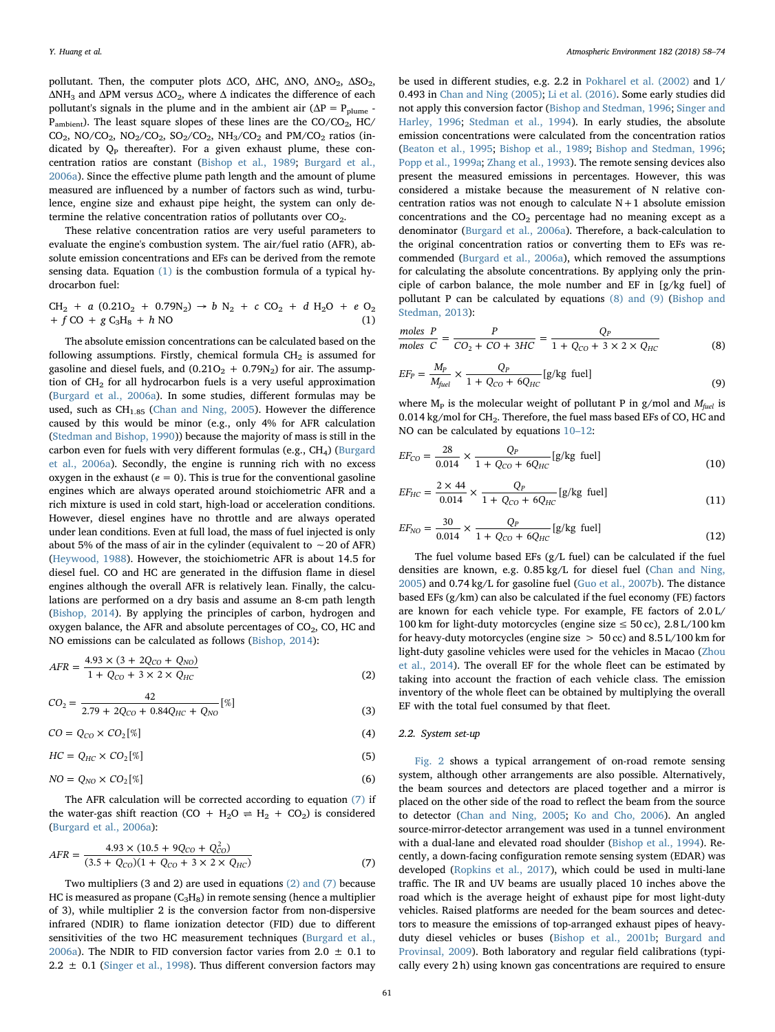pollutant. Then, the computer plots ΔCO, ΔHC, ΔNO, ΔNO<sub>2</sub>, ΔSO<sub>2</sub>,  $\Delta$ NH<sub>3</sub> and  $\Delta$ PM versus  $\Delta$ CO<sub>2</sub>, where  $\Delta$  indicates the difference of each pollutant's signals in the plume and in the ambient air ( $\Delta P = P_{\text{plume}}$  - $P_{\rm ambient}$ ). The least square slopes of these lines are the CO/CO<sub>2</sub>, HC/  $CO<sub>2</sub>$ , NO/CO<sub>2</sub>, NO<sub>2</sub>/CO<sub>2</sub>, SO<sub>2</sub>/CO<sub>2</sub>, NH<sub>3</sub>/CO<sub>2</sub> and PM/CO<sub>2</sub> ratios (indicated by  $Q_P$  thereafter). For a given exhaust plume, these concentration ratios are constant ([Bishop et al., 1989](#page-16-11); [Burgard et al.,](#page-16-10) [2006a\)](#page-16-10). Since the effective plume path length and the amount of plume measured are influenced by a number of factors such as wind, turbulence, engine size and exhaust pipe height, the system can only determine the relative concentration ratios of pollutants over  $CO<sub>2</sub>$ .

These relative concentration ratios are very useful parameters to evaluate the engine's combustion system. The air/fuel ratio (AFR), absolute emission concentrations and EFs can be derived from the remote sensing data. Equation [\(1\)](#page-4-0) is the combustion formula of a typical hydrocarbon fuel:

<span id="page-4-0"></span> $CH_2$  + a (0.21O<sub>2</sub> + 0.79N<sub>2</sub>)  $\rightarrow$  b N<sub>2</sub> + c CO<sub>2</sub> + d H<sub>2</sub>O + e O<sub>2</sub> +  $f$  CO +  $g$  C<sub>3</sub>H<sub>8</sub> +  $h$  NO

The absolute emission concentrations can be calculated based on the following assumptions. Firstly, chemical formula  $CH<sub>2</sub>$  is assumed for gasoline and diesel fuels, and  $(0.21O<sub>2</sub> + 0.79N<sub>2</sub>)$  for air. The assumption of  $CH<sub>2</sub>$  for all hydrocarbon fuels is a very useful approximation ([Burgard et al., 2006a\)](#page-16-10). In some studies, different formulas may be used, such as  $CH<sub>1.85</sub>$  ([Chan and Ning, 2005\)](#page-16-18). However the difference caused by this would be minor (e.g., only 4% for AFR calculation ([Stedman and Bishop, 1990](#page-17-10))) because the majority of mass is still in the carbon even for fuels with very different formulas (e.g.,  $CH<sub>4</sub>$ ) [\(Burgard](#page-16-10) [et al., 2006a](#page-16-10)). Secondly, the engine is running rich with no excess oxygen in the exhaust ( $e = 0$ ). This is true for the conventional gasoline engines which are always operated around stoichiometric AFR and a rich mixture is used in cold start, high-load or acceleration conditions. However, diesel engines have no throttle and are always operated under lean conditions. Even at full load, the mass of fuel injected is only about 5% of the mass of air in the cylinder (equivalent to ∼20 of AFR) ([Heywood, 1988](#page-16-19)). However, the stoichiometric AFR is about 14.5 for diesel fuel. CO and HC are generated in the diffusion flame in diesel engines although the overall AFR is relatively lean. Finally, the calculations are performed on a dry basis and assume an 8-cm path length ([Bishop, 2014](#page-15-3)). By applying the principles of carbon, hydrogen and oxygen balance, the AFR and absolute percentages of  $CO<sub>2</sub>$ ,  $CO<sub>2</sub>$ ,  $CO<sub>3</sub>$ , HC and NO emissions can be calculated as follows ([Bishop, 2014](#page-15-3)):

<span id="page-4-2"></span>
$$
AFR = \frac{4.93 \times (3 + 2Q_{CO} + Q_{NO})}{1 + Q_{CO} + 3 \times 2 \times Q_{HC}}
$$
(2)

$$
CO_2 = \frac{42}{2.79 + 2Q_{CO} + 0.84Q_{HC} + Q_{NO}} [\%]
$$
\n(3)

$$
CO = Q_{CO} \times CO_2[\%]
$$
 (4)

$$
HC = Q_{HC} \times CO_2[\%]
$$
 (5)

$$
NO = Q_{NO} \times CO_2[\%]
$$
 (6)

<span id="page-4-1"></span>The AFR calculation will be corrected according to equation [\(7\)](#page-4-1) if the water-gas shift reaction (CO +  $H_2O \rightleftharpoons H_2 + CO_2$ ) is considered ([Burgard et al., 2006a](#page-16-10)):

$$
AFR = \frac{4.93 \times (10.5 + 9Q_{CO} + Q_{CO}^2)}{(3.5 + Q_{CO})(1 + Q_{CO} + 3 \times 2 \times Q_{HC})}
$$
(7)

Two multipliers (3 and 2) are used in equations [\(2\) and \(7\)](#page-4-2) because HC is measured as propane  $(C_3H_8)$  in remote sensing (hence a multiplier of 3), while multiplier 2 is the conversion factor from non-dispersive infrared (NDIR) to flame ionization detector (FID) due to different sensitivities of the two HC measurement techniques [\(Burgard et al.,](#page-16-10) [2006a\)](#page-16-10). The NDIR to FID conversion factor varies from 2.0  $\pm$  0.1 to 2.2  $\pm$  0.1 ([Singer et al., 1998\)](#page-17-18). Thus different conversion factors may

be used in different studies, e.g. 2.2 in [Pokharel et al. \(2002\)](#page-17-19) and 1/ 0.493 in [Chan and Ning \(2005\);](#page-16-18) [Li et al. \(2016\).](#page-16-20) Some early studies did not apply this conversion factor [\(Bishop and Stedman, 1996](#page-16-12); [Singer and](#page-17-20) [Harley, 1996;](#page-17-20) [Stedman et al., 1994](#page-17-21)). In early studies, the absolute emission concentrations were calculated from the concentration ratios ([Beaton et al., 1995;](#page-15-1) [Bishop et al., 1989;](#page-16-11) [Bishop and Stedman, 1996](#page-16-12); [Popp et al., 1999a](#page-17-13); [Zhang et al., 1993](#page-17-12)). The remote sensing devices also present the measured emissions in percentages. However, this was considered a mistake because the measurement of N relative concentration ratios was not enough to calculate  $N+1$  absolute emission concentrations and the  $CO<sub>2</sub>$  percentage had no meaning except as a denominator ([Burgard et al., 2006a\)](#page-16-10). Therefore, a back-calculation to the original concentration ratios or converting them to EFs was recommended ([Burgard et al., 2006a](#page-16-10)), which removed the assumptions for calculating the absolute concentrations. By applying only the principle of carbon balance, the mole number and EF in [g/kg fuel] of pollutant P can be calculated by equations [\(8\) and \(9\)](#page-4-3) [\(Bishop and](#page-16-21) [Stedman, 2013](#page-16-21)):

<span id="page-4-3"></span>moles 
$$
P
$$
 =  $\frac{P}{CO_2 + CO + 3HC}$  =  $\frac{Q_P}{1 + Q_{CO} + 3 \times 2 \times Q_{HC}}$  (8)

$$
EF_P = \frac{M_P}{M_{fuel}} \times \frac{Q_P}{1 + Q_{CO} + 6Q_{HC}} [g/kg \text{ fuel}]
$$
\n(9)

<span id="page-4-4"></span>where  $M_P$  is the molecular weight of pollutant P in g/mol and  $M_{fuel}$  is 0.014 kg/mol for CH<sub>2</sub>. Therefore, the fuel mass based EFs of CO, HC and NO can be calculated by equations [10](#page-4-4)–12:

$$
EF_{CO} = \frac{28}{0.014} \times \frac{Q_P}{1 + Q_{CO} + 6Q_{HC}} [\text{g/kg fuel}]
$$
\n(10)

$$
EF_{HC} = \frac{2 \times 44}{0.014} \times \frac{Q_P}{1 + Q_{CO} + 6Q_{HC}} [g/kg \text{ fuel}]
$$
\n(11)

$$
EF_{NO} = \frac{30}{0.014} \times \frac{Q_P}{1 + Q_{CO} + 6Q_{HC}} [g/kg \text{ fuel}]
$$
\n(12)

The fuel volume based EFs (g/L fuel) can be calculated if the fuel densities are known, e.g. 0.85 kg/L for diesel fuel [\(Chan and Ning,](#page-16-18) [2005\)](#page-16-18) and 0.74 kg/L for gasoline fuel [\(Guo et al., 2007b](#page-16-22)). The distance based EFs (g/km) can also be calculated if the fuel economy (FE) factors are known for each vehicle type. For example, FE factors of 2.0 L/ 100 km for light-duty motorcycles (engine size  $\leq$  50 cc), 2.8 L/100 km for heavy-duty motorcycles (engine size  $> 50$  cc) and 8.5 L/100 km for light-duty gasoline vehicles were used for the vehicles in Macao ([Zhou](#page-17-22) [et al., 2014\)](#page-17-22). The overall EF for the whole fleet can be estimated by taking into account the fraction of each vehicle class. The emission inventory of the whole fleet can be obtained by multiplying the overall EF with the total fuel consumed by that fleet.

#### 2.2. System set-up

[Fig. 2](#page-3-1) shows a typical arrangement of on-road remote sensing system, although other arrangements are also possible. Alternatively, the beam sources and detectors are placed together and a mirror is placed on the other side of the road to reflect the beam from the source to detector ([Chan and Ning, 2005;](#page-16-18) [Ko and Cho, 2006\)](#page-16-23). An angled source-mirror-detector arrangement was used in a tunnel environment with a dual-lane and elevated road shoulder ([Bishop et al., 1994](#page-16-24)). Recently, a down-facing configuration remote sensing system (EDAR) was developed [\(Ropkins et al., 2017](#page-17-23)), which could be used in multi-lane traffic. The IR and UV beams are usually placed 10 inches above the road which is the average height of exhaust pipe for most light-duty vehicles. Raised platforms are needed for the beam sources and detectors to measure the emissions of top-arranged exhaust pipes of heavyduty diesel vehicles or buses ([Bishop et al., 2001b](#page-15-4); [Burgard and](#page-16-25) [Provinsal, 2009\)](#page-16-25). Both laboratory and regular field calibrations (typically every 2 h) using known gas concentrations are required to ensure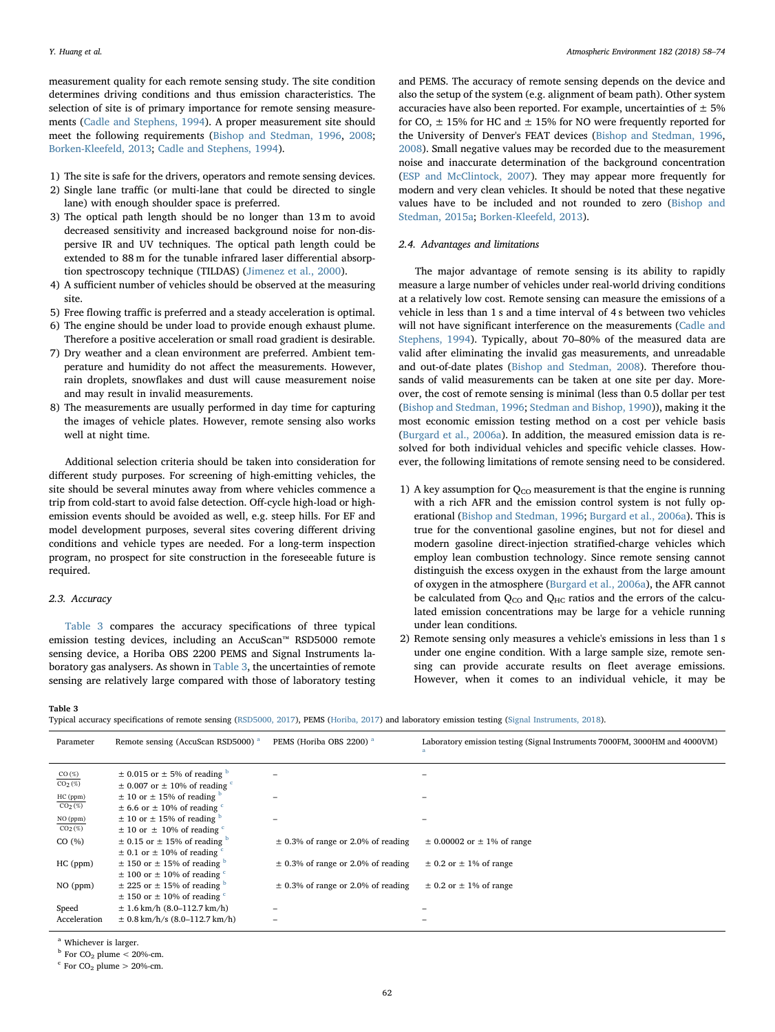measurement quality for each remote sensing study. The site condition determines driving conditions and thus emission characteristics. The selection of site is of primary importance for remote sensing measurements ([Cadle and Stephens, 1994](#page-16-17)). A proper measurement site should meet the following requirements ([Bishop and Stedman, 1996,](#page-16-12) [2008](#page-16-26); [Borken-Kleefeld, 2013;](#page-16-7) [Cadle and Stephens, 1994\)](#page-16-17).

- 1) The site is safe for the drivers, operators and remote sensing devices.
- 2) Single lane traffic (or multi-lane that could be directed to single lane) with enough shoulder space is preferred.
- 3) The optical path length should be no longer than 13 m to avoid decreased sensitivity and increased background noise for non-dispersive IR and UV techniques. The optical path length could be extended to 88 m for the tunable infrared laser differential absorption spectroscopy technique (TILDAS) ([Jimenez et al., 2000](#page-16-27)).
- 4) A sufficient number of vehicles should be observed at the measuring site.
- 5) Free flowing traffic is preferred and a steady acceleration is optimal.
- 6) The engine should be under load to provide enough exhaust plume. Therefore a positive acceleration or small road gradient is desirable.
- 7) Dry weather and a clean environment are preferred. Ambient temperature and humidity do not affect the measurements. However, rain droplets, snowflakes and dust will cause measurement noise and may result in invalid measurements.
- 8) The measurements are usually performed in day time for capturing the images of vehicle plates. However, remote sensing also works well at night time.

Additional selection criteria should be taken into consideration for different study purposes. For screening of high-emitting vehicles, the site should be several minutes away from where vehicles commence a trip from cold-start to avoid false detection. Off-cycle high-load or highemission events should be avoided as well, e.g. steep hills. For EF and model development purposes, several sites covering different driving conditions and vehicle types are needed. For a long-term inspection program, no prospect for site construction in the foreseeable future is required.

# 2.3. Accuracy

[Table 3](#page-5-0) compares the accuracy specifications of three typical emission testing devices, including an AccuScan™ RSD5000 remote sensing device, a Horiba OBS 2200 PEMS and Signal Instruments laboratory gas analysers. As shown in [Table 3](#page-5-0), the uncertainties of remote sensing are relatively large compared with those of laboratory testing

and PEMS. The accuracy of remote sensing depends on the device and also the setup of the system (e.g. alignment of beam path). Other system accuracies have also been reported. For example, uncertainties of  $\pm$  5% for CO,  $\pm$  15% for HC and  $\pm$  15% for NO were frequently reported for the University of Denver's FEAT devices [\(Bishop and Stedman, 1996](#page-16-12), [2008\)](#page-16-26). Small negative values may be recorded due to the measurement noise and inaccurate determination of the background concentration ([ESP and McClintock, 2007\)](#page-16-28). They may appear more frequently for modern and very clean vehicles. It should be noted that these negative values have to be included and not rounded to zero [\(Bishop and](#page-16-15) [Stedman, 2015a](#page-16-15); [Borken-Kleefeld, 2013\)](#page-16-7).

### <span id="page-5-4"></span>2.4. Advantages and limitations

The major advantage of remote sensing is its ability to rapidly measure a large number of vehicles under real-world driving conditions at a relatively low cost. Remote sensing can measure the emissions of a vehicle in less than 1 s and a time interval of 4 s between two vehicles will not have significant interference on the measurements [\(Cadle and](#page-16-17) [Stephens, 1994\)](#page-16-17). Typically, about 70–80% of the measured data are valid after eliminating the invalid gas measurements, and unreadable and out-of-date plates [\(Bishop and Stedman, 2008](#page-16-26)). Therefore thousands of valid measurements can be taken at one site per day. Moreover, the cost of remote sensing is minimal (less than 0.5 dollar per test ([Bishop and Stedman, 1996](#page-16-12); [Stedman and Bishop, 1990\)](#page-17-10)), making it the most economic emission testing method on a cost per vehicle basis ([Burgard et al., 2006a\)](#page-16-10). In addition, the measured emission data is resolved for both individual vehicles and specific vehicle classes. However, the following limitations of remote sensing need to be considered.

- 1) A key assumption for  $Q_{CO}$  measurement is that the engine is running with a rich AFR and the emission control system is not fully operational ([Bishop and Stedman, 1996](#page-16-12); [Burgard et al., 2006a\)](#page-16-10). This is true for the conventional gasoline engines, but not for diesel and modern gasoline direct-injection stratified-charge vehicles which employ lean combustion technology. Since remote sensing cannot distinguish the excess oxygen in the exhaust from the large amount of oxygen in the atmosphere ([Burgard et al., 2006a\)](#page-16-10), the AFR cannot be calculated from  $Q_{CO}$  and  $Q_{HC}$  ratios and the errors of the calculated emission concentrations may be large for a vehicle running under lean conditions.
- 2) Remote sensing only measures a vehicle's emissions in less than 1 s under one engine condition. With a large sample size, remote sensing can provide accurate results on fleet average emissions. However, when it comes to an individual vehicle, it may be

#### <span id="page-5-0"></span>Table 3

Typical accuracy specifications of remote sensing ([RSD5000, 2017](#page-17-24)), PEMS [\(Horiba, 2017\)](#page-16-29) and laboratory emission testing ([Signal Instruments, 2018\)](#page-17-25).

| Parameter                             | Remote sensing (AccuScan RSD5000) <sup>a</sup>    | PEMS (Horiba OBS 2200) <sup>a</sup>    | Laboratory emission testing (Signal Instruments 7000FM, 3000HM and 4000VM) |
|---------------------------------------|---------------------------------------------------|----------------------------------------|----------------------------------------------------------------------------|
| $rac{\text{CO}(\%)}{\text{CO}_2(\%)}$ | $\pm$ 0.015 or $\pm$ 5% of reading $\overline{P}$ |                                        |                                                                            |
|                                       | $\pm$ 0.007 or $\pm$ 10% of reading $\textdegree$ |                                        |                                                                            |
| HC (ppm)                              | $\pm$ 10 or $\pm$ 15% of reading $\frac{b}{c}$    |                                        |                                                                            |
| CO <sub>2</sub> (%)                   | $\pm$ 6.6 or $\pm$ 10% of reading $\degree$       |                                        |                                                                            |
| NO (ppm)                              | $\pm$ 10 or $\pm$ 15% of reading $\overline{p}$   |                                        |                                                                            |
| CO <sub>2</sub> (%)                   | $\pm$ 10 or $\pm$ 10% of reading $\degree$        |                                        |                                                                            |
| CO(%)                                 | $\pm$ 0.15 or $\pm$ 15% of reading $\overline{P}$ | $\pm$ 0.3% of range or 2.0% of reading | $\pm$ 0.00002 or $\pm$ 1% of range                                         |
|                                       | $\pm$ 0.1 or $\pm$ 10% of reading $\degree$       |                                        |                                                                            |
| $HC$ (ppm)                            | $\pm$ 150 or $\pm$ 15% of reading $\overline{p}$  | $\pm$ 0.3% of range or 2.0% of reading | $\pm$ 0.2 or $\pm$ 1% of range                                             |
|                                       | $\pm$ 100 or $\pm$ 10% of reading $\textdegree$   |                                        |                                                                            |
| $NO$ (ppm)                            | $\pm$ 225 or $\pm$ 15% of reading $\overline{p}$  | $\pm$ 0.3% of range or 2.0% of reading | $\pm$ 0.2 or $\pm$ 1% of range                                             |
|                                       | $\pm$ 150 or $\pm$ 10% of reading $\degree$       |                                        |                                                                            |
| Speed                                 | $\pm$ 1.6 km/h (8.0–112.7 km/h)                   |                                        |                                                                            |
| Acceleration                          | $\pm$ 0.8 km/h/s (8.0–112.7 km/h)                 |                                        |                                                                            |

<span id="page-5-1"></span><sup>a</sup> Whichever is larger.

<span id="page-5-2"></span> $^{\rm b}$  For CO $\rm _2$  plume  $<$  20%-cm.

<span id="page-5-3"></span> $\rm ^{c}$  For CO<sub>2</sub> plume > 20%-cm.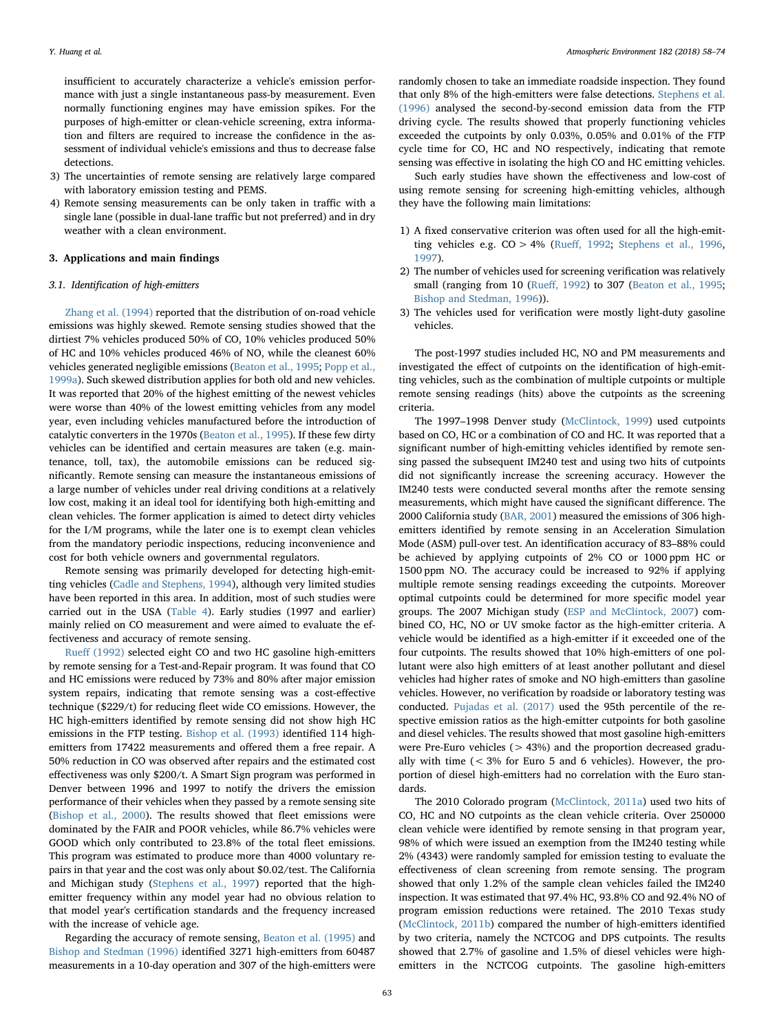insufficient to accurately characterize a vehicle's emission performance with just a single instantaneous pass-by measurement. Even normally functioning engines may have emission spikes. For the purposes of high-emitter or clean-vehicle screening, extra information and filters are required to increase the confidence in the assessment of individual vehicle's emissions and thus to decrease false detections.

- 3) The uncertainties of remote sensing are relatively large compared with laboratory emission testing and PEMS.
- 4) Remote sensing measurements can be only taken in traffic with a single lane (possible in dual-lane traffic but not preferred) and in dry weather with a clean environment.

### <span id="page-6-1"></span>3. Applications and main findings

## <span id="page-6-0"></span>3.1. Identification of high-emitters

[Zhang et al. \(1994\)](#page-17-26) reported that the distribution of on-road vehicle emissions was highly skewed. Remote sensing studies showed that the dirtiest 7% vehicles produced 50% of CO, 10% vehicles produced 50% of HC and 10% vehicles produced 46% of NO, while the cleanest 60% vehicles generated negligible emissions ([Beaton et al., 1995](#page-15-1); [Popp et al.,](#page-17-13) [1999a\)](#page-17-13). Such skewed distribution applies for both old and new vehicles. It was reported that 20% of the highest emitting of the newest vehicles were worse than 40% of the lowest emitting vehicles from any model year, even including vehicles manufactured before the introduction of catalytic converters in the 1970s [\(Beaton et al., 1995](#page-15-1)). If these few dirty vehicles can be identified and certain measures are taken (e.g. maintenance, toll, tax), the automobile emissions can be reduced significantly. Remote sensing can measure the instantaneous emissions of a large number of vehicles under real driving conditions at a relatively low cost, making it an ideal tool for identifying both high-emitting and clean vehicles. The former application is aimed to detect dirty vehicles for the I/M programs, while the later one is to exempt clean vehicles from the mandatory periodic inspections, reducing inconvenience and cost for both vehicle owners and governmental regulators.

Remote sensing was primarily developed for detecting high-emitting vehicles [\(Cadle and Stephens, 1994](#page-16-17)), although very limited studies have been reported in this area. In addition, most of such studies were carried out in the USA [\(Table 4\)](#page-7-0). Early studies (1997 and earlier) mainly relied on CO measurement and were aimed to evaluate the effectiveness and accuracy of remote sensing.

Rueff [\(1992\)](#page-17-27) selected eight CO and two HC gasoline high-emitters by remote sensing for a Test-and-Repair program. It was found that CO and HC emissions were reduced by 73% and 80% after major emission system repairs, indicating that remote sensing was a cost-effective technique (\$229/t) for reducing fleet wide CO emissions. However, the HC high-emitters identified by remote sensing did not show high HC emissions in the FTP testing. [Bishop et al. \(1993\)](#page-16-30) identified 114 highemitters from 17422 measurements and offered them a free repair. A 50% reduction in CO was observed after repairs and the estimated cost effectiveness was only \$200/t. A Smart Sign program was performed in Denver between 1996 and 1997 to notify the drivers the emission performance of their vehicles when they passed by a remote sensing site ([Bishop et al., 2000\)](#page-16-31). The results showed that fleet emissions were dominated by the FAIR and POOR vehicles, while 86.7% vehicles were GOOD which only contributed to 23.8% of the total fleet emissions. This program was estimated to produce more than 4000 voluntary repairs in that year and the cost was only about \$0.02/test. The California and Michigan study ([Stephens et al., 1997](#page-17-28)) reported that the highemitter frequency within any model year had no obvious relation to that model year's certification standards and the frequency increased with the increase of vehicle age.

Regarding the accuracy of remote sensing, [Beaton et al. \(1995\)](#page-15-1) and [Bishop and Stedman \(1996\)](#page-16-12) identified 3271 high-emitters from 60487 measurements in a 10-day operation and 307 of the high-emitters were randomly chosen to take an immediate roadside inspection. They found that only 8% of the high-emitters were false detections. [Stephens et al.](#page-17-29) [\(1996\)](#page-17-29) analysed the second-by-second emission data from the FTP driving cycle. The results showed that properly functioning vehicles exceeded the cutpoints by only 0.03%, 0.05% and 0.01% of the FTP cycle time for CO, HC and NO respectively, indicating that remote sensing was effective in isolating the high CO and HC emitting vehicles.

Such early studies have shown the effectiveness and low-cost of using remote sensing for screening high-emitting vehicles, although they have the following main limitations:

- 1) A fixed conservative criterion was often used for all the high-emitting vehicles e.g.  $CO > 4\%$  (Rueff[, 1992](#page-17-27); [Stephens et al., 1996](#page-17-29), [1997](#page-17-28)).
- 2) The number of vehicles used for screening verification was relatively small (ranging from 10 (Rueff[, 1992](#page-17-27)) to 307 [\(Beaton et al., 1995](#page-15-1); [Bishop and Stedman, 1996\)](#page-16-12)).
- 3) The vehicles used for verification were mostly light-duty gasoline vehicles.

The post-1997 studies included HC, NO and PM measurements and investigated the effect of cutpoints on the identification of high-emitting vehicles, such as the combination of multiple cutpoints or multiple remote sensing readings (hits) above the cutpoints as the screening criteria.

The 1997–1998 Denver study ([McClintock, 1999\)](#page-16-32) used cutpoints based on CO, HC or a combination of CO and HC. It was reported that a significant number of high-emitting vehicles identified by remote sensing passed the subsequent IM240 test and using two hits of cutpoints did not significantly increase the screening accuracy. However the IM240 tests were conducted several months after the remote sensing measurements, which might have caused the significant difference. The 2000 California study [\(BAR, 2001](#page-15-5)) measured the emissions of 306 highemitters identified by remote sensing in an Acceleration Simulation Mode (ASM) pull-over test. An identification accuracy of 83–88% could be achieved by applying cutpoints of 2% CO or 1000 ppm HC or 1500 ppm NO. The accuracy could be increased to 92% if applying multiple remote sensing readings exceeding the cutpoints. Moreover optimal cutpoints could be determined for more specific model year groups. The 2007 Michigan study [\(ESP and McClintock, 2007\)](#page-16-28) combined CO, HC, NO or UV smoke factor as the high-emitter criteria. A vehicle would be identified as a high-emitter if it exceeded one of the four cutpoints. The results showed that 10% high-emitters of one pollutant were also high emitters of at least another pollutant and diesel vehicles had higher rates of smoke and NO high-emitters than gasoline vehicles. However, no verification by roadside or laboratory testing was conducted. [Pujadas et al. \(2017\)](#page-17-7) used the 95th percentile of the respective emission ratios as the high-emitter cutpoints for both gasoline and diesel vehicles. The results showed that most gasoline high-emitters were Pre-Euro vehicles (> 43%) and the proportion decreased gradually with time (< 3% for Euro 5 and 6 vehicles). However, the proportion of diesel high-emitters had no correlation with the Euro standards.

The 2010 Colorado program ([McClintock, 2011a\)](#page-16-33) used two hits of CO, HC and NO cutpoints as the clean vehicle criteria. Over 250000 clean vehicle were identified by remote sensing in that program year, 98% of which were issued an exemption from the IM240 testing while 2% (4343) were randomly sampled for emission testing to evaluate the effectiveness of clean screening from remote sensing. The program showed that only 1.2% of the sample clean vehicles failed the IM240 inspection. It was estimated that 97.4% HC, 93.8% CO and 92.4% NO of program emission reductions were retained. The 2010 Texas study ([McClintock, 2011b\)](#page-17-30) compared the number of high-emitters identified by two criteria, namely the NCTCOG and DPS cutpoints. The results showed that 2.7% of gasoline and 1.5% of diesel vehicles were highemitters in the NCTCOG cutpoints. The gasoline high-emitters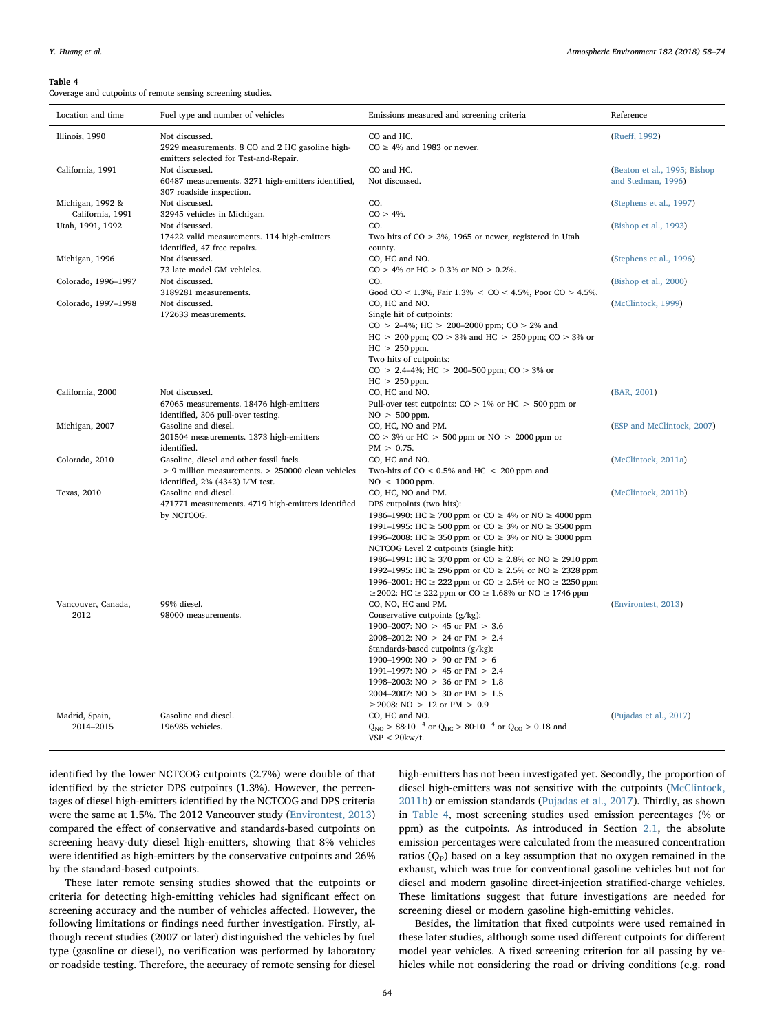#### <span id="page-7-0"></span>Table 4

Coverage and cutpoints of remote sensing screening studies.

| Location and time   | Fuel type and number of vehicles                                               | Emissions measured and screening criteria                                                              | Reference                    |
|---------------------|--------------------------------------------------------------------------------|--------------------------------------------------------------------------------------------------------|------------------------------|
| Illinois, 1990      | Not discussed.                                                                 | CO and HC.                                                                                             | (Rueff, 1992)                |
|                     | 2929 measurements. 8 CO and 2 HC gasoline high-                                | $CO \geq 4\%$ and 1983 or newer.                                                                       |                              |
| California, 1991    | emitters selected for Test-and-Repair.<br>Not discussed.                       | CO and HC.                                                                                             | (Beaton et al., 1995; Bishop |
|                     |                                                                                | Not discussed.                                                                                         |                              |
|                     | 60487 measurements. 3271 high-emitters identified,<br>307 roadside inspection. |                                                                                                        | and Stedman, 1996)           |
| Michigan, 1992 &    | Not discussed.                                                                 | CO.                                                                                                    | (Stephens et al., 1997)      |
| California, 1991    | 32945 vehicles in Michigan.                                                    | $CO > 4\%$ .                                                                                           |                              |
| Utah, 1991, 1992    | Not discussed.                                                                 | CO.                                                                                                    | (Bishop et al., 1993)        |
|                     | 17422 valid measurements. 114 high-emitters                                    | Two hits of $CO > 3\%$ , 1965 or newer, registered in Utah                                             |                              |
|                     | identified, 47 free repairs.                                                   | county.                                                                                                |                              |
| Michigan, 1996      | Not discussed.                                                                 | CO, HC and NO.                                                                                         | (Stephens et al., 1996)      |
|                     | 73 late model GM vehicles.                                                     | $CO > 4\%$ or HC $> 0.3\%$ or NO $> 0.2\%$ .                                                           |                              |
| Colorado, 1996-1997 | Not discussed.                                                                 | CO.                                                                                                    | (Bishop et al., 2000)        |
|                     | 3189281 measurements.                                                          | Good CO < 1.3%, Fair $1.3\%$ < CO < 4.5%, Poor CO > 4.5%.                                              |                              |
| Colorado, 1997-1998 | Not discussed.                                                                 | CO, HC and NO.                                                                                         | (McClintock, 1999)           |
|                     | 172633 measurements.                                                           | Single hit of cutpoints:                                                                               |                              |
|                     |                                                                                | $CO > 2-4\%$ ; HC $> 200-2000$ ppm; $CO > 2\%$ and                                                     |                              |
|                     |                                                                                | $HC > 200$ ppm; $CO > 3\%$ and $HC > 250$ ppm; $CO > 3\%$ or                                           |                              |
|                     |                                                                                | $HC > 250$ ppm.                                                                                        |                              |
|                     |                                                                                | Two hits of cutpoints:                                                                                 |                              |
|                     |                                                                                | CO > 2.4–4%; HC > 200–500 ppm; CO > 3% or                                                              |                              |
|                     |                                                                                | $HC > 250$ ppm.                                                                                        |                              |
| California, 2000    | Not discussed.                                                                 | CO, HC and NO.                                                                                         | (BAR, 2001)                  |
|                     | 67065 measurements. 18476 high-emitters                                        | Pull-over test cutpoints: $CO > 1\%$ or $HC > 500$ ppm or                                              |                              |
|                     | identified, 306 pull-over testing.                                             | $NO > 500$ ppm.                                                                                        |                              |
| Michigan, 2007      | Gasoline and diesel.                                                           | CO, HC, NO and PM.                                                                                     | (ESP and McClintock, 2007)   |
|                     | 201504 measurements. 1373 high-emitters                                        | $CO > 3\%$ or HC $> 500$ ppm or NO $> 2000$ ppm or                                                     |                              |
|                     | identified.                                                                    | $PM > 0.75$ .                                                                                          |                              |
| Colorado, 2010      | Gasoline, diesel and other fossil fuels.                                       | CO, HC and NO.                                                                                         | (McClintock, 2011a)          |
|                     | > 9 million measurements. > 250000 clean vehicles                              | Two-hits of $CO < 0.5\%$ and $HC < 200$ ppm and                                                        |                              |
|                     | identified, 2% (4343) I/M test.                                                | $NO < 1000$ ppm.                                                                                       |                              |
| Texas, 2010         | Gasoline and diesel.                                                           | CO, HC, NO and PM.                                                                                     | (McClintock, 2011b)          |
|                     | 471771 measurements. 4719 high-emitters identified                             | DPS cutpoints (two hits):                                                                              |                              |
|                     | by NCTCOG.                                                                     | 1986–1990: HC ≥ 700 ppm or CO ≥ 4% or NO ≥ 4000 ppm                                                    |                              |
|                     |                                                                                | 1991–1995: HC ≥ 500 ppm or CO ≥ 3% or NO ≥ 3500 ppm                                                    |                              |
|                     |                                                                                | 1996–2008: HC $\geq$ 350 ppm or CO $\geq$ 3% or NO $\geq$ 3000 ppm                                     |                              |
|                     |                                                                                | NCTCOG Level 2 cutpoints (single hit):                                                                 |                              |
|                     |                                                                                | 1986–1991: HC ≥ 370 ppm or CO ≥ 2.8% or NO ≥ 2910 ppm                                                  |                              |
|                     |                                                                                | 1992–1995: HC ≥ 296 ppm or CO ≥ 2.5% or NO ≥ 2328 ppm                                                  |                              |
|                     |                                                                                | 1996–2001: HC $\geq$ 222 ppm or CO $\geq$ 2.5% or NO $\geq$ 2250 ppm                                   |                              |
|                     |                                                                                | ≥ 2002: HC ≥ 222 ppm or CO ≥ 1.68% or NO ≥ 1746 ppm                                                    |                              |
| Vancouver, Canada,  | 99% diesel.                                                                    | CO, NO, HC and PM.                                                                                     | (Environtest, 2013)          |
| 2012                | 98000 measurements.                                                            | Conservative cutpoints $(g/kg)$ :                                                                      |                              |
|                     |                                                                                | 1900-2007: NO > 45 or PM > 3.6                                                                         |                              |
|                     |                                                                                | 2008-2012: NO > 24 or PM > 2.4                                                                         |                              |
|                     |                                                                                | Standards-based cutpoints $(g/kg)$ :                                                                   |                              |
|                     |                                                                                | 1900-1990: NO > 90 or PM > 6                                                                           |                              |
|                     |                                                                                | 1991-1997: NO > 45 or PM > 2.4                                                                         |                              |
|                     |                                                                                | 1998-2003: NO $> 36$ or PM $> 1.8$                                                                     |                              |
|                     |                                                                                | 2004-2007: NO $> 30$ or PM $> 1.5$                                                                     |                              |
|                     |                                                                                | $\geq$ 2008: NO > 12 or PM > 0.9                                                                       |                              |
| Madrid, Spain,      | Gasoline and diesel.                                                           | CO, HC and NO.                                                                                         | (Pujadas et al., 2017)       |
| 2014-2015           | 196985 vehicles.                                                               | $Q_{\text{NO}} > 88 \cdot 10^{-4}$ or $Q_{\text{HC}} > 80 \cdot 10^{-4}$ or $Q_{\text{CO}} > 0.18$ and |                              |
|                     |                                                                                | $VSP < 20$ kw/t.                                                                                       |                              |

identified by the lower NCTCOG cutpoints (2.7%) were double of that identified by the stricter DPS cutpoints (1.3%). However, the percentages of diesel high-emitters identified by the NCTCOG and DPS criteria were the same at 1.5%. The 2012 Vancouver study ([Environtest, 2013\)](#page-16-34) compared the effect of conservative and standards-based cutpoints on screening heavy-duty diesel high-emitters, showing that 8% vehicles were identified as high-emitters by the conservative cutpoints and 26% by the standard-based cutpoints.

These later remote sensing studies showed that the cutpoints or criteria for detecting high-emitting vehicles had significant effect on screening accuracy and the number of vehicles affected. However, the following limitations or findings need further investigation. Firstly, although recent studies (2007 or later) distinguished the vehicles by fuel type (gasoline or diesel), no verification was performed by laboratory or roadside testing. Therefore, the accuracy of remote sensing for diesel

high-emitters has not been investigated yet. Secondly, the proportion of diesel high-emitters was not sensitive with the cutpoints [\(McClintock,](#page-17-30) [2011b\)](#page-17-30) or emission standards ([Pujadas et al., 2017\)](#page-17-7). Thirdly, as shown in [Table 4,](#page-7-0) most screening studies used emission percentages (% or ppm) as the cutpoints. As introduced in Section [2.1,](#page-3-3) the absolute emission percentages were calculated from the measured concentration ratios  $(Q_P)$  based on a key assumption that no oxygen remained in the exhaust, which was true for conventional gasoline vehicles but not for diesel and modern gasoline direct-injection stratified-charge vehicles. These limitations suggest that future investigations are needed for screening diesel or modern gasoline high-emitting vehicles.

Besides, the limitation that fixed cutpoints were used remained in these later studies, although some used different cutpoints for different model year vehicles. A fixed screening criterion for all passing by vehicles while not considering the road or driving conditions (e.g. road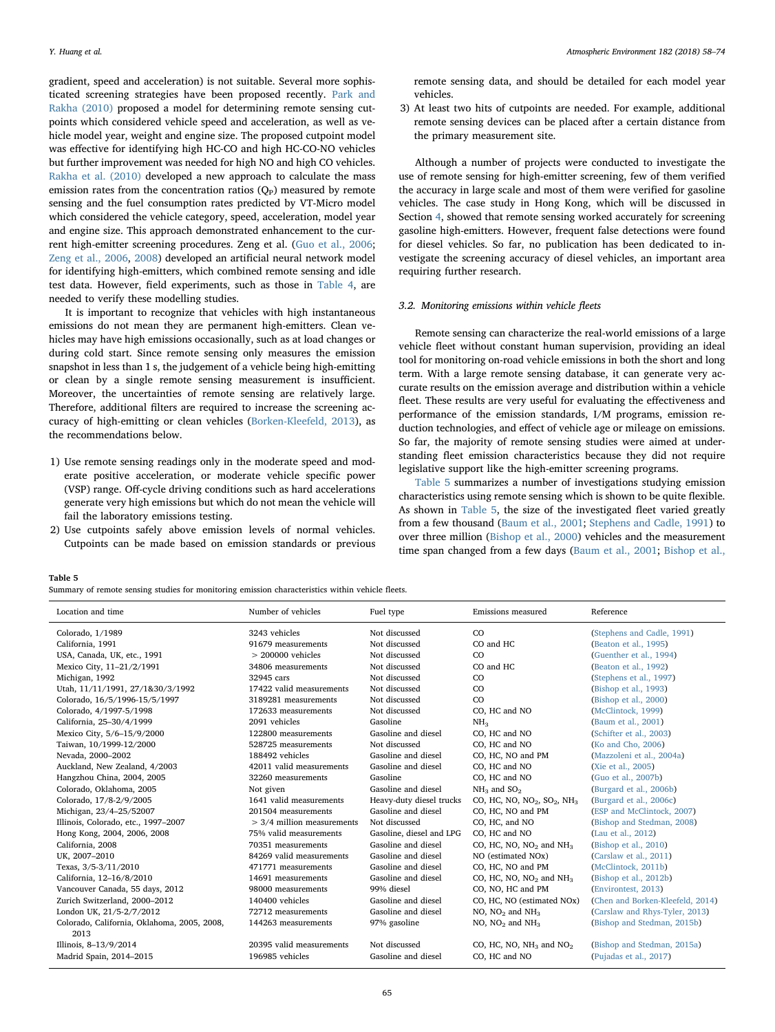gradient, speed and acceleration) is not suitable. Several more sophisticated screening strategies have been proposed recently. [Park and](#page-17-31) [Rakha \(2010\)](#page-17-31) proposed a model for determining remote sensing cutpoints which considered vehicle speed and acceleration, as well as vehicle model year, weight and engine size. The proposed cutpoint model was effective for identifying high HC-CO and high HC-CO-NO vehicles but further improvement was needed for high NO and high CO vehicles. [Rakha et al. \(2010\)](#page-17-32) developed a new approach to calculate the mass emission rates from the concentration ratios  $(Q_P)$  measured by remote sensing and the fuel consumption rates predicted by VT-Micro model which considered the vehicle category, speed, acceleration, model year and engine size. This approach demonstrated enhancement to the current high-emitter screening procedures. Zeng et al. [\(Guo et al., 2006](#page-16-35); [Zeng et al., 2006](#page-17-33), [2008](#page-17-34)) developed an artificial neural network model for identifying high-emitters, which combined remote sensing and idle test data. However, field experiments, such as those in [Table 4,](#page-7-0) are needed to verify these modelling studies.

It is important to recognize that vehicles with high instantaneous emissions do not mean they are permanent high-emitters. Clean vehicles may have high emissions occasionally, such as at load changes or during cold start. Since remote sensing only measures the emission snapshot in less than 1 s, the judgement of a vehicle being high-emitting or clean by a single remote sensing measurement is insufficient. Moreover, the uncertainties of remote sensing are relatively large. Therefore, additional filters are required to increase the screening accuracy of high-emitting or clean vehicles [\(Borken-Kleefeld, 2013\)](#page-16-7), as the recommendations below.

- 1) Use remote sensing readings only in the moderate speed and moderate positive acceleration, or moderate vehicle specific power (VSP) range. Off-cycle driving conditions such as hard accelerations generate very high emissions but which do not mean the vehicle will fail the laboratory emissions testing.
- 2) Use cutpoints safely above emission levels of normal vehicles. Cutpoints can be made based on emission standards or previous

remote sensing data, and should be detailed for each model year vehicles.

3) At least two hits of cutpoints are needed. For example, additional remote sensing devices can be placed after a certain distance from the primary measurement site.

Although a number of projects were conducted to investigate the use of remote sensing for high-emitter screening, few of them verified the accuracy in large scale and most of them were verified for gasoline vehicles. The case study in Hong Kong, which will be discussed in Section [4](#page-13-0), showed that remote sensing worked accurately for screening gasoline high-emitters. However, frequent false detections were found for diesel vehicles. So far, no publication has been dedicated to investigate the screening accuracy of diesel vehicles, an important area requiring further research.

# 3.2. Monitoring emissions within vehicle fleets

Remote sensing can characterize the real-world emissions of a large vehicle fleet without constant human supervision, providing an ideal tool for monitoring on-road vehicle emissions in both the short and long term. With a large remote sensing database, it can generate very accurate results on the emission average and distribution within a vehicle fleet. These results are very useful for evaluating the effectiveness and performance of the emission standards, I/M programs, emission reduction technologies, and effect of vehicle age or mileage on emissions. So far, the majority of remote sensing studies were aimed at understanding fleet emission characteristics because they did not require legislative support like the high-emitter screening programs.

[Table 5](#page-8-0) summarizes a number of investigations studying emission characteristics using remote sensing which is shown to be quite flexible. As shown in [Table 5,](#page-8-0) the size of the investigated fleet varied greatly from a few thousand ([Baum et al., 2001;](#page-15-6) Stephens [and Cadle, 1991](#page-17-35)) to over three million ([Bishop et al., 2000\)](#page-16-31) vehicles and the measurement time span changed from a few days ([Baum et al., 2001](#page-15-6); [Bishop et al.,](#page-16-36)

#### <span id="page-8-0"></span>Table 5

Summary of remote sensing studies for monitoring emission characteristics within vehicle fleets.

| Location and time                           | Number of vehicles           | Fuel type                | Emissions measured                                              | Reference                        |
|---------------------------------------------|------------------------------|--------------------------|-----------------------------------------------------------------|----------------------------------|
| Colorado, 1/1989                            | 3243 vehicles                | Not discussed            | CO                                                              | (Stephens and Cadle, 1991)       |
| California, 1991                            | 91679 measurements           | Not discussed            | CO and HC                                                       | (Beaton et al., 1995)            |
| USA, Canada, UK, etc., 1991                 | $> 200000$ vehicles          | Not discussed            | CO                                                              | (Guenther et al., 1994)          |
| Mexico City, 11-21/2/1991                   | 34806 measurements           | Not discussed            | CO and HC                                                       | (Beaton et al., 1992)            |
| Michigan, 1992                              | 32945 cars                   | Not discussed            | CO                                                              | (Stephens et al., 1997)          |
| Utah, 11/11/1991, 27/1&30/3/1992            | 17422 valid measurements     | Not discussed            | CO                                                              | (Bishop et al., 1993)            |
| Colorado, 16/5/1996-15/5/1997               | 3189281 measurements         | Not discussed            | CO                                                              | (Bishop et al., 2000)            |
| Colorado, 4/1997-5/1998                     | 172633 measurements          | Not discussed            | CO. HC and NO                                                   | (McClintock, 1999)               |
| California, 25-30/4/1999                    | 2091 vehicles                | Gasoline                 | NH <sub>3</sub>                                                 | (Baum et al., 2001)              |
| Mexico City, 5/6-15/9/2000                  | 122800 measurements          | Gasoline and diesel      | CO. HC and NO                                                   | (Schifter et al., 2003)          |
| Taiwan, 10/1999-12/2000                     | 528725 measurements          | Not discussed            | CO. HC and NO                                                   | (Ko and Cho, 2006)               |
| Nevada, 2000-2002                           | 188492 vehicles              | Gasoline and diesel      | CO, HC, NO and PM                                               | (Mazzoleni et al., 2004a)        |
| Auckland, New Zealand, 4/2003               | 42011 valid measurements     | Gasoline and diesel      | CO, HC and NO                                                   | (Xie et al., 2005)               |
| Hangzhou China, 2004, 2005                  | 32260 measurements           | Gasoline                 | CO. HC and NO                                                   | (Guo et al., 2007b)              |
| Colorado, Oklahoma, 2005                    | Not given                    | Gasoline and diesel      | $NH3$ and SO <sub>2</sub>                                       | (Burgard et al., 2006b)          |
| Colorado, 17/8-2/9/2005                     | 1641 valid measurements      | Heavy-duty diesel trucks | CO, HC, NO, NO <sub>2</sub> , SO <sub>2</sub> , NH <sub>3</sub> | (Burgard et al., 2006c)          |
| Michigan, 23/4-25/52007                     | 201504 measurements          | Gasoline and diesel      | CO, HC, NO and PM                                               | (ESP and McClintock, 2007)       |
| Illinois, Colorado, etc., 1997-2007         | $>$ 3/4 million measurements | Not discussed            | CO, HC, and NO                                                  | (Bishop and Stedman, 2008)       |
| Hong Kong, 2004, 2006, 2008                 | 75% valid measurements       | Gasoline, diesel and LPG | CO, HC and NO                                                   | (Lau et al., 2012)               |
| California, 2008                            | 70351 measurements           | Gasoline and diesel      | CO, HC, NO, $NO2$ and $NH3$                                     | (Bishop et al., 2010)            |
| UK, 2007-2010                               | 84269 valid measurements     | Gasoline and diesel      | NO (estimated NOx)                                              | (Carslaw et al., 2011)           |
| Texas, 3/5-3/11/2010                        | 471771 measurements          | Gasoline and diesel      | CO, HC, NO and PM                                               | (McClintock, 2011b)              |
| California, 12-16/8/2010                    | 14691 measurements           | Gasoline and diesel      | CO, HC, NO, $NO2$ and $NH3$                                     | (Bishop et al., 2012b)           |
| Vancouver Canada, 55 days, 2012             | 98000 measurements           | 99% diesel               | CO, NO, HC and PM                                               | (Environtest, 2013)              |
| Zurich Switzerland, 2000-2012               | 140400 vehicles              | Gasoline and diesel      | CO, HC, NO (estimated NOx)                                      | (Chen and Borken-Kleefeld, 2014) |
| London UK, 21/5-2/7/2012                    | 72712 measurements           | Gasoline and diesel      | NO, $NO2$ and $NH3$                                             | (Carslaw and Rhys-Tyler, 2013)   |
| Colorado, California, Oklahoma, 2005, 2008, | 144263 measurements          | 97% gasoline             | NO, $NO2$ and $NH3$                                             | (Bishop and Stedman, 2015b)      |
| 2013                                        |                              |                          |                                                                 |                                  |
| Illinois, 8-13/9/2014                       | 20395 valid measurements     | Not discussed            | CO, HC, NO, $NH3$ and $NO2$                                     | (Bishop and Stedman, 2015a)      |
| Madrid Spain, 2014-2015                     | 196985 vehicles              | Gasoline and diesel      | CO, HC and NO                                                   | (Pujadas et al., 2017)           |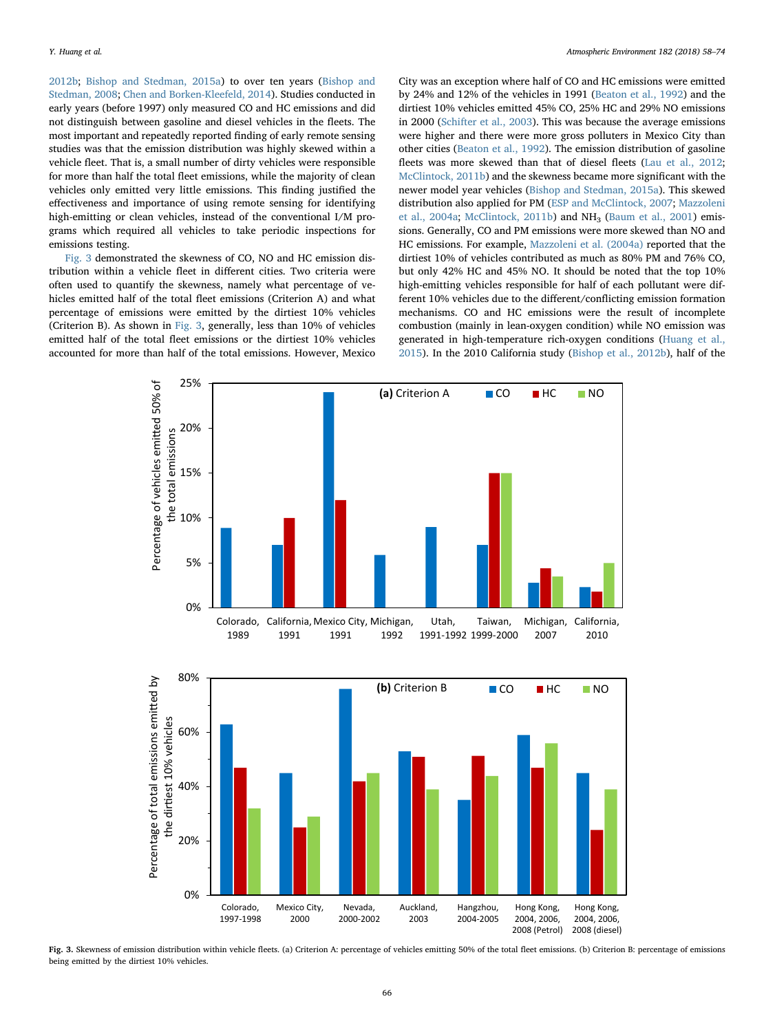[2012b;](#page-16-36) [Bishop and Stedman, 2015a\)](#page-16-15) to over ten years ([Bishop and](#page-16-26) [Stedman, 2008](#page-16-26); [Chen and Borken-Kleefeld, 2014](#page-16-6)). Studies conducted in early years (before 1997) only measured CO and HC emissions and did not distinguish between gasoline and diesel vehicles in the fleets. The most important and repeatedly reported finding of early remote sensing studies was that the emission distribution was highly skewed within a vehicle fleet. That is, a small number of dirty vehicles were responsible for more than half the total fleet emissions, while the majority of clean vehicles only emitted very little emissions. This finding justified the effectiveness and importance of using remote sensing for identifying high-emitting or clean vehicles, instead of the conventional I/M programs which required all vehicles to take periodic inspections for emissions testing.

[Fig. 3](#page-9-0) demonstrated the skewness of CO, NO and HC emission distribution within a vehicle fleet in different cities. Two criteria were often used to quantify the skewness, namely what percentage of vehicles emitted half of the total fleet emissions (Criterion A) and what percentage of emissions were emitted by the dirtiest 10% vehicles (Criterion B). As shown in [Fig. 3](#page-9-0), generally, less than 10% of vehicles emitted half of the total fleet emissions or the dirtiest 10% vehicles accounted for more than half of the total emissions. However, Mexico

City was an exception where half of CO and HC emissions were emitted by 24% and 12% of the vehicles in 1991 ([Beaton et al., 1992](#page-15-7)) and the dirtiest 10% vehicles emitted 45% CO, 25% HC and 29% NO emissions in 2000 [\(Schifter et al., 2003](#page-17-36)). This was because the average emissions were higher and there were more gross polluters in Mexico City than other cities ([Beaton et al., 1992\)](#page-15-7). The emission distribution of gasoline fleets was more skewed than that of diesel fleets ([Lau et al., 2012](#page-16-40); [McClintock, 2011b](#page-17-30)) and the skewness became more significant with the newer model year vehicles ([Bishop and Stedman, 2015a](#page-16-15)). This skewed distribution also applied for PM ([ESP and McClintock, 2007](#page-16-28); [Mazzoleni](#page-16-38) [et al., 2004a](#page-16-38); [McClintock, 2011b](#page-17-30)) and NH<sub>3</sub> [\(Baum et al., 2001\)](#page-15-6) emissions. Generally, CO and PM emissions were more skewed than NO and HC emissions. For example, [Mazzoleni et al. \(2004a\)](#page-16-38) reported that the dirtiest 10% of vehicles contributed as much as 80% PM and 76% CO, but only 42% HC and 45% NO. It should be noted that the top 10% high-emitting vehicles responsible for half of each pollutant were different 10% vehicles due to the different/conflicting emission formation mechanisms. CO and HC emissions were the result of incomplete combustion (mainly in lean-oxygen condition) while NO emission was generated in high-temperature rich-oxygen conditions ([Huang et al.,](#page-16-42) [2015\)](#page-16-42). In the 2010 California study [\(Bishop et al., 2012b](#page-16-36)), half of the

<span id="page-9-0"></span>



Fig. 3. Skewness of emission distribution within vehicle fleets. (a) Criterion A: percentage of vehicles emitting 50% of the total fleet emissions. (b) Criterion B: percentage of emissions being emitted by the dirtiest 10% vehicles.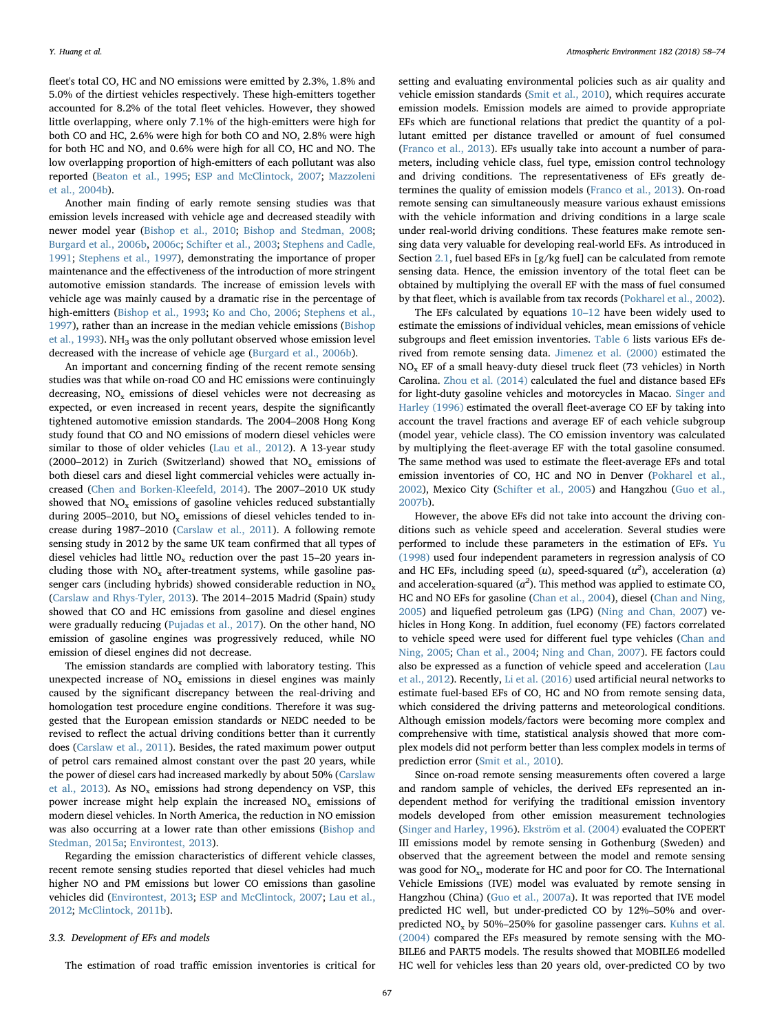fleet's total CO, HC and NO emissions were emitted by 2.3%, 1.8% and 5.0% of the dirtiest vehicles respectively. These high-emitters together accounted for 8.2% of the total fleet vehicles. However, they showed little overlapping, where only 7.1% of the high-emitters were high for both CO and HC, 2.6% were high for both CO and NO, 2.8% were high for both HC and NO, and 0.6% were high for all CO, HC and NO. The low overlapping proportion of high-emitters of each pollutant was also reported [\(Beaton et al., 1995](#page-15-1); [ESP and McClintock, 2007](#page-16-28); [Mazzoleni](#page-16-43) [et al., 2004b\)](#page-16-43).

Another main finding of early remote sensing studies was that emission levels increased with vehicle age and decreased steadily with newer model year ([Bishop et al., 2010](#page-15-8); [Bishop and Stedman, 2008](#page-16-26); [Burgard et al., 2006b,](#page-16-39) [2006c;](#page-16-16) [Schifter et al., 2003;](#page-17-36) [Stephens and Cadle,](#page-17-35) [1991;](#page-17-35) [Stephens et al., 1997](#page-17-28)), demonstrating the importance of proper maintenance and the effectiveness of the introduction of more stringent automotive emission standards. The increase of emission levels with vehicle age was mainly caused by a dramatic rise in the percentage of high-emitters ([Bishop et al., 1993](#page-16-30); [Ko and Cho, 2006;](#page-16-23) [Stephens et al.,](#page-17-28) [1997\)](#page-17-28), rather than an increase in the median vehicle emissions ([Bishop](#page-16-30) [et al., 1993](#page-16-30)). NH<sub>3</sub> was the only pollutant observed whose emission level decreased with the increase of vehicle age [\(Burgard et al., 2006b](#page-16-39)).

An important and concerning finding of the recent remote sensing studies was that while on-road CO and HC emissions were continuingly decreasing,  $NO<sub>x</sub>$  emissions of diesel vehicles were not decreasing as expected, or even increased in recent years, despite the significantly tightened automotive emission standards. The 2004–2008 Hong Kong study found that CO and NO emissions of modern diesel vehicles were similar to those of older vehicles ([Lau et al., 2012](#page-16-40)). A 13-year study (2000–2012) in Zurich (Switzerland) showed that  $NO<sub>x</sub>$  emissions of both diesel cars and diesel light commercial vehicles were actually increased [\(Chen and Borken-Kleefeld, 2014](#page-16-6)). The 2007–2010 UK study showed that  $NO<sub>x</sub>$  emissions of gasoline vehicles reduced substantially during 2005–2010, but  $NO<sub>x</sub>$  emissions of diesel vehicles tended to increase during 1987–2010 ([Carslaw et al., 2011\)](#page-16-4). A following remote sensing study in 2012 by the same UK team confirmed that all types of diesel vehicles had little  $NO<sub>x</sub>$  reduction over the past 15–20 years including those with  $NO<sub>x</sub>$  after-treatment systems, while gasoline passenger cars (including hybrids) showed considerable reduction in  $NO<sub>x</sub>$ ([Carslaw and Rhys-Tyler, 2013](#page-16-5)). The 2014–2015 Madrid (Spain) study showed that CO and HC emissions from gasoline and diesel engines were gradually reducing [\(Pujadas et al., 2017\)](#page-17-7). On the other hand, NO emission of gasoline engines was progressively reduced, while NO emission of diesel engines did not decrease.

The emission standards are complied with laboratory testing. This unexpected increase of  $NO<sub>x</sub>$  emissions in diesel engines was mainly caused by the significant discrepancy between the real-driving and homologation test procedure engine conditions. Therefore it was suggested that the European emission standards or NEDC needed to be revised to reflect the actual driving conditions better than it currently does [\(Carslaw et al., 2011](#page-16-4)). Besides, the rated maximum power output of petrol cars remained almost constant over the past 20 years, while the power of diesel cars had increased markedly by about 50% ([Carslaw](#page-16-44) [et al., 2013\)](#page-16-44). As  $NO<sub>x</sub>$  emissions had strong dependency on VSP, this power increase might help explain the increased  $NO<sub>x</sub>$  emissions of modern diesel vehicles. In North America, the reduction in NO emission was also occurring at a lower rate than other emissions [\(Bishop and](#page-16-15) [Stedman, 2015a](#page-16-15); [Environtest, 2013](#page-16-34)).

Regarding the emission characteristics of different vehicle classes, recent remote sensing studies reported that diesel vehicles had much higher NO and PM emissions but lower CO emissions than gasoline vehicles did ([Environtest, 2013;](#page-16-34) [ESP and McClintock, 2007](#page-16-28); [Lau et al.,](#page-16-40) [2012;](#page-16-40) [McClintock, 2011b\)](#page-17-30).

#### 3.3. Development of EFs and models

The estimation of road traffic emission inventories is critical for

setting and evaluating environmental policies such as air quality and vehicle emission standards [\(Smit et al., 2010](#page-17-38)), which requires accurate emission models. Emission models are aimed to provide appropriate EFs which are functional relations that predict the quantity of a pollutant emitted per distance travelled or amount of fuel consumed ([Franco et al., 2013](#page-16-0)). EFs usually take into account a number of parameters, including vehicle class, fuel type, emission control technology and driving conditions. The representativeness of EFs greatly determines the quality of emission models ([Franco et al., 2013](#page-16-0)). On-road remote sensing can simultaneously measure various exhaust emissions with the vehicle information and driving conditions in a large scale under real-world driving conditions. These features make remote sensing data very valuable for developing real-world EFs. As introduced in Section [2.1,](#page-3-3) fuel based EFs in [g/kg fuel] can be calculated from remote sensing data. Hence, the emission inventory of the total fleet can be obtained by multiplying the overall EF with the mass of fuel consumed by that fleet, which is available from tax records ([Pokharel et al., 2002](#page-17-19)).

The EFs calculated by equations [10](#page-4-4)–12 have been widely used to estimate the emissions of individual vehicles, mean emissions of vehicle subgroups and fleet emission inventories. [Table 6](#page-11-0) lists various EFs derived from remote sensing data. [Jimenez et al. \(2000\)](#page-16-27) estimated the  $NO<sub>x</sub>$  EF of a small heavy-duty diesel truck fleet (73 vehicles) in North Carolina. [Zhou et al. \(2014\)](#page-17-22) calculated the fuel and distance based EFs for light-duty gasoline vehicles and motorcycles in Macao. [Singer and](#page-17-20) [Harley \(1996\)](#page-17-20) estimated the overall fleet-average CO EF by taking into account the travel fractions and average EF of each vehicle subgroup (model year, vehicle class). The CO emission inventory was calculated by multiplying the fleet-average EF with the total gasoline consumed. The same method was used to estimate the fleet-average EFs and total emission inventories of CO, HC and NO in Denver [\(Pokharel et al.,](#page-17-19) [2002\)](#page-17-19), Mexico City [\(Schifter et al., 2005\)](#page-17-39) and Hangzhou [\(Guo et al.,](#page-16-22) [2007b\)](#page-16-22).

However, the above EFs did not take into account the driving conditions such as vehicle speed and acceleration. Several studies were performed to include these parameters in the estimation of EFs. [Yu](#page-17-40) [\(1998\)](#page-17-40) used four independent parameters in regression analysis of CO and HC EFs, including speed  $(u)$ , speed-squared  $(u^2)$ , acceleration  $(a)$ and acceleration-squared  $(a^2)$ . This method was applied to estimate CO, HC and NO EFs for gasoline ([Chan et al., 2004\)](#page-16-45), diesel ([Chan and Ning,](#page-16-18) [2005\)](#page-16-18) and liquefied petroleum gas (LPG) [\(Ning and Chan, 2007\)](#page-17-41) vehicles in Hong Kong. In addition, fuel economy (FE) factors correlated to vehicle speed were used for different fuel type vehicles [\(Chan and](#page-16-18) [Ning, 2005](#page-16-18); [Chan et al., 2004](#page-16-45); [Ning and Chan, 2007\)](#page-17-41). FE factors could also be expressed as a function of vehicle speed and acceleration ([Lau](#page-16-40) [et al., 2012](#page-16-40)). Recently, [Li et al. \(2016\)](#page-16-20) used artificial neural networks to estimate fuel-based EFs of CO, HC and NO from remote sensing data, which considered the driving patterns and meteorological conditions. Although emission models/factors were becoming more complex and comprehensive with time, statistical analysis showed that more complex models did not perform better than less complex models in terms of prediction error ([Smit et al., 2010](#page-17-38)).

Since on-road remote sensing measurements often covered a large and random sample of vehicles, the derived EFs represented an independent method for verifying the traditional emission inventory models developed from other emission measurement technologies ([Singer and Harley, 1996\)](#page-17-20). [Ekström et al. \(2004\)](#page-16-46) evaluated the COPERT III emissions model by remote sensing in Gothenburg (Sweden) and observed that the agreement between the model and remote sensing was good for  $NO<sub>x</sub>$ , moderate for HC and poor for CO. The International Vehicle Emissions (IVE) model was evaluated by remote sensing in Hangzhou (China) [\(Guo et al., 2007a](#page-16-47)). It was reported that IVE model predicted HC well, but under-predicted CO by 12%–50% and overpredicted  $NO<sub>x</sub>$  by 50%–250% for gasoline passenger cars. [Kuhns et al.](#page-16-48) [\(2004\)](#page-16-48) compared the EFs measured by remote sensing with the MO-BILE6 and PART5 models. The results showed that MOBILE6 modelled HC well for vehicles less than 20 years old, over-predicted CO by two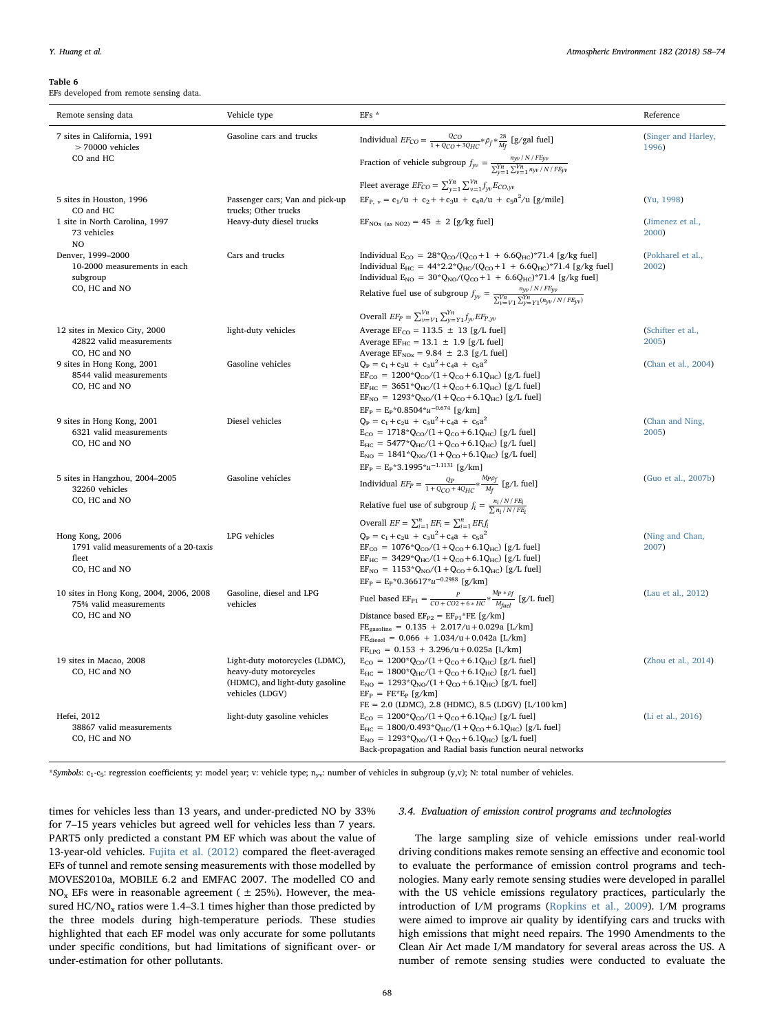#### <span id="page-11-0"></span>Table 6

EFs developed from remote sensing data.

| Remote sensing data                                               | Vehicle type                                            | $EFs *$                                                                                                                                                                                                                                                                             | Reference                    |
|-------------------------------------------------------------------|---------------------------------------------------------|-------------------------------------------------------------------------------------------------------------------------------------------------------------------------------------------------------------------------------------------------------------------------------------|------------------------------|
| 7 sites in California, 1991<br>$>$ 70000 vehicles                 | Gasoline cars and trucks                                | Individual $E F_{CO} = \frac{Q_{CO}}{1+Q_{CO}+3Q_{HC}} * \rho_f * \frac{28}{M_f}$ [g/gal fuel]                                                                                                                                                                                      | (Singer and Harley,<br>1996) |
| CO and HC                                                         |                                                         | Fraction of vehicle subgroup $f_{yv} = \frac{n_{yv}/N/FE_{yv}}{\sum_{v=1}^{Yn} \sum_{v=1}^{Vn} n_{yv}/N/FE_{yv}}$                                                                                                                                                                   |                              |
|                                                                   |                                                         | Fleet average $EF_{CO} = \sum_{v=1}^{Yn} \sum_{v=1}^{Vn} f_{vv} E_{CO, vv}$                                                                                                                                                                                                         |                              |
| 5 sites in Houston, 1996<br>CO and HC                             | Passenger cars; Van and pick-up<br>trucks; Other trucks | $EF_{P_1 y} = c_1/u + c_2 + c_3 u + c_4 a/u + c_5 a^2/u$ [g/mile]                                                                                                                                                                                                                   | (Yu, 1998)                   |
| 1 site in North Carolina, 1997<br>73 vehicles<br>NO               | Heavy-duty diesel trucks                                | $EF_{\text{NOx (as NO2)}} = 45 \pm 2$ [g/kg fuel]                                                                                                                                                                                                                                   | (Jimenez et al.,<br>2000)    |
| Denver, 1999-2000<br>10-2000 measurements in each<br>subgroup     | Cars and trucks                                         | Individual E <sub>CO</sub> = $28 \times Q_{CO}/(Q_{CO} + 1 + 6.6Q_{HC}) \times 71.4$ [g/kg fuel]<br>Individual E <sub>HC</sub> = $44*2.2*Q_{HC}/(Q_{CO}+1 + 6.6Q_{HC})*71.4$ [g/kg fuel]<br>Individual $E_{NO} = 30 \times Q_{NO}/(Q_{CO} + 1 + 6.6Q_{HC}) \times 71.4$ [g/kg fuel] | (Pokharel et al.,<br>2002)   |
| CO, HC and NO                                                     |                                                         | Relative fuel use of subgroup $f_{yy} = \frac{n_{yy}/N/FE_{yy}}{\sum_{v=V1}^{V_n} \sum_{v=V1}^{Y_n} (n_{yv}/N/FE_{yv})}$                                                                                                                                                            |                              |
|                                                                   |                                                         | Overall $EF_P = \sum_{v=V1}^{Vn} \sum_{y=Y1}^{Yn} f_{yv} EF_{P,yv}$                                                                                                                                                                                                                 |                              |
| 12 sites in Mexico City, 2000                                     | light-duty vehicles                                     | Average $EF_{CO} = 113.5 \pm 13$ [g/L fuel]                                                                                                                                                                                                                                         | (Schifter et al.,            |
| 42822 valid measurements                                          |                                                         | Average $EF_{HC} = 13.1 \pm 1.9$ [g/L fuel]                                                                                                                                                                                                                                         | 2005)                        |
| CO, HC and NO                                                     |                                                         | Average $EF_{\text{NOx}} = 9.84 \pm 2.3$ [g/L fuel]                                                                                                                                                                                                                                 |                              |
| 9 sites in Hong Kong, 2001                                        | Gasoline vehicles                                       | $Q_p = c_1 + c_2 u + c_3 u^2 + c_4 a + c_5 a^2$                                                                                                                                                                                                                                     | (Chan et al., 2004)          |
| 8544 valid measurements                                           |                                                         | $EF_{CO} = 1200 \times Q_{CO}/(1 + Q_{CO} + 6.1 Q_{HC})$ [g/L fuel]                                                                                                                                                                                                                 |                              |
| CO, HC and NO                                                     |                                                         | $EF_{HC} = 3651 \text{°Q}_{HC}/(1 + Q_{CO} + 6.1 Q_{HC})$ [g/L fuel]                                                                                                                                                                                                                |                              |
|                                                                   |                                                         | $EF_{NO} = 1293 \times Q_{NO}/(1 + Q_{CO} + 6.1 Q_{HC})$ [g/L fuel]                                                                                                                                                                                                                 |                              |
|                                                                   |                                                         | $EF_{p} = E_{p} * 0.8504 * u^{-0.674}$ [g/km]                                                                                                                                                                                                                                       |                              |
| 9 sites in Hong Kong, 2001                                        | Diesel vehicles                                         | $Q_P = c_1 + c_2 u + c_3 u^2 + c_4 a + c_5 a^2$                                                                                                                                                                                                                                     | (Chan and Ning,              |
| 6321 valid measurements                                           |                                                         | $E_{CO} = 1718 \times Q_{CO}/(1 + Q_{CO} + 6.1 Q_{HC})$ [g/L fuel]                                                                                                                                                                                                                  | 2005)                        |
| CO, HC and NO                                                     |                                                         | $E_{HC} = 5477 \cdot Q_{HC}/(1 + Q_{CO} + 6.1 Q_{HC})$ [g/L fuel]                                                                                                                                                                                                                   |                              |
|                                                                   |                                                         | $E_{NO}$ = 1841*Q <sub>NO</sub> /(1+Q <sub>CO</sub> +6.1Q <sub>HC</sub> ) [g/L fuel]                                                                                                                                                                                                |                              |
|                                                                   |                                                         | $EF_p = E_p * 3.1995 * u^{-1.1131}$ [g/km]                                                                                                                                                                                                                                          |                              |
| 5 sites in Hangzhou, 2004-2005<br>32260 vehicles<br>CO, HC and NO | Gasoline vehicles                                       | $\mbox{Individual }\mathit{EF}_{P} = \frac{QP}{1 + Q_{CO} + 4 Q_{HC}} * \frac{M P \rho f}{M_f}~[\mbox{g/L fuel}]$                                                                                                                                                                   | (Guo et al., 2007b)          |
|                                                                   |                                                         | Relative fuel use of subgroup $f_i = \frac{n_i/N/FE_i}{\sum n_i/N/FE_i}$                                                                                                                                                                                                            |                              |
|                                                                   |                                                         | Overall $EF = \sum_{i=1}^{n} EF_i = \sum_{i=1}^{n} EF_i f_i$                                                                                                                                                                                                                        |                              |
| Hong Kong, 2006                                                   | LPG vehicles                                            | $Q_P = c_1 + c_2 u + c_3 u^2 + c_4 a + c_5 a^2$                                                                                                                                                                                                                                     | (Ning and Chan,              |
| 1791 valid measurements of a 20-taxis                             |                                                         | $EF_{CO} = 1076 \times Q_{CO}/(1 + Q_{CO} + 6.1 Q_{HC})$ [g/L fuel]                                                                                                                                                                                                                 | 2007)                        |
| fleet                                                             |                                                         | $EF_{HC} = 3429 \times Q_{HC}/(1 + Q_{CO} + 6.1 Q_{HC})$ [g/L fuel]                                                                                                                                                                                                                 |                              |
| CO, HC and NO                                                     |                                                         | $EF_{NO} = 1153 \times Q_{NO}/(1 + Q_{CO} + 6.1 Q_{HC})$ [g/L fuel]                                                                                                                                                                                                                 |                              |
|                                                                   |                                                         | $EF_{P} = E_{P} * 0.36617 * u^{-0.2988}$ [g/km]                                                                                                                                                                                                                                     |                              |
| 10 sites in Hong Kong, 2004, 2006, 2008<br>75% valid measurements | Gasoline, diesel and LPG<br>vehicles                    | Fuel based $\text{EF}_{\text{P1}}=\frac{P}{CO+CO2+6*HC}*\frac{M_P*\rho_f}{M_{\text{fuel}}}$ [g/L fuel]                                                                                                                                                                              | (Lau et al., 2012)           |
| CO, HC and NO                                                     |                                                         | Distance based $EF_{P2} = EF_{P1} * FE$ [g/km]                                                                                                                                                                                                                                      |                              |
|                                                                   |                                                         | $FE_{gasoline} = 0.135 + 2.017/u + 0.029a [L/km]$                                                                                                                                                                                                                                   |                              |
|                                                                   |                                                         | $FE_{\text{diesel}} = 0.066 + 1.034/u + 0.042a$ [L/km]                                                                                                                                                                                                                              |                              |
|                                                                   |                                                         | $FE_{LPG} = 0.153 + 3.296/u + 0.025a$ [L/km]                                                                                                                                                                                                                                        |                              |
| 19 sites in Macao, 2008                                           | Light-duty motorcycles (LDMC),                          | $E_{CO} = 1200 \times Q_{CO}/(1 + Q_{CO} + 6.1 Q_{HC})$ [g/L fuel]                                                                                                                                                                                                                  | (Zhou et al., 2014)          |
| CO, HC and NO                                                     | heavy-duty motorcycles                                  | $E_{HC} = 1800 \times Q_{HC}/(1 + Q_{CO} + 6.1 Q_{HC})$ [g/L fuel]                                                                                                                                                                                                                  |                              |
|                                                                   | (HDMC), and light-duty gasoline<br>vehicles (LDGV)      | $E_{NO} = 1293 \times Q_{NO}/(1 + Q_{CO} + 6.1 Q_{HC})$ [g/L fuel]<br>$EF_P = FE*E_P [g/km]$                                                                                                                                                                                        |                              |
|                                                                   |                                                         | $FE = 2.0$ (LDMC), 2.8 (HDMC), 8.5 (LDGV) [L/100 km]                                                                                                                                                                                                                                |                              |
| Hefei, 2012                                                       | light-duty gasoline vehicles                            | $E_{CO} = 1200 \times Q_{CO}/(1 + Q_{CO} + 6.1 Q_{HC})$ [g/L fuel]                                                                                                                                                                                                                  | (Li et al., 2016)            |
| 38867 valid measurements                                          |                                                         | $E_{HC} = 1800/0.493 \times Q_{HC}/(1 + Q_{CO} + 6.1 Q_{HC})$ [g/L fuel]                                                                                                                                                                                                            |                              |
| CO, HC and NO                                                     |                                                         | $E_{NO} = 1293 \times Q_{NO}/(1 + Q_{CO} + 6.1 Q_{HC})$ [g/L fuel]                                                                                                                                                                                                                  |                              |
|                                                                   |                                                         | Back-propagation and Radial basis function neural networks                                                                                                                                                                                                                          |                              |

\*Symbols: c1-c5: regression coefficients; y: model year; v: vehicle type; nyv: number of vehicles in subgroup (y,v); N: total number of vehicles.

times for vehicles less than 13 years, and under-predicted NO by 33% for 7–15 years vehicles but agreed well for vehicles less than 7 years. PART5 only predicted a constant PM EF which was about the value of 13-year-old vehicles. [Fujita et al. \(2012\)](#page-16-49) compared the fleet-averaged EFs of tunnel and remote sensing measurements with those modelled by MOVES2010a, MOBILE 6.2 and EMFAC 2007. The modelled CO and  $NO<sub>x</sub>$  EFs were in reasonable agreement (  $\pm$  25%). However, the measured HC/NO<sub>x</sub> ratios were 1.4-3.1 times higher than those predicted by the three models during high-temperature periods. These studies highlighted that each EF model was only accurate for some pollutants under specific conditions, but had limitations of significant over- or under-estimation for other pollutants.

### 3.4. Evaluation of emission control programs and technologies

The large sampling size of vehicle emissions under real-world driving conditions makes remote sensing an effective and economic tool to evaluate the performance of emission control programs and technologies. Many early remote sensing studies were developed in parallel with the US vehicle emissions regulatory practices, particularly the introduction of I/M programs ([Ropkins et al., 2009\)](#page-17-4). I/M programs were aimed to improve air quality by identifying cars and trucks with high emissions that might need repairs. The 1990 Amendments to the Clean Air Act made I/M mandatory for several areas across the US. A number of remote sensing studies were conducted to evaluate the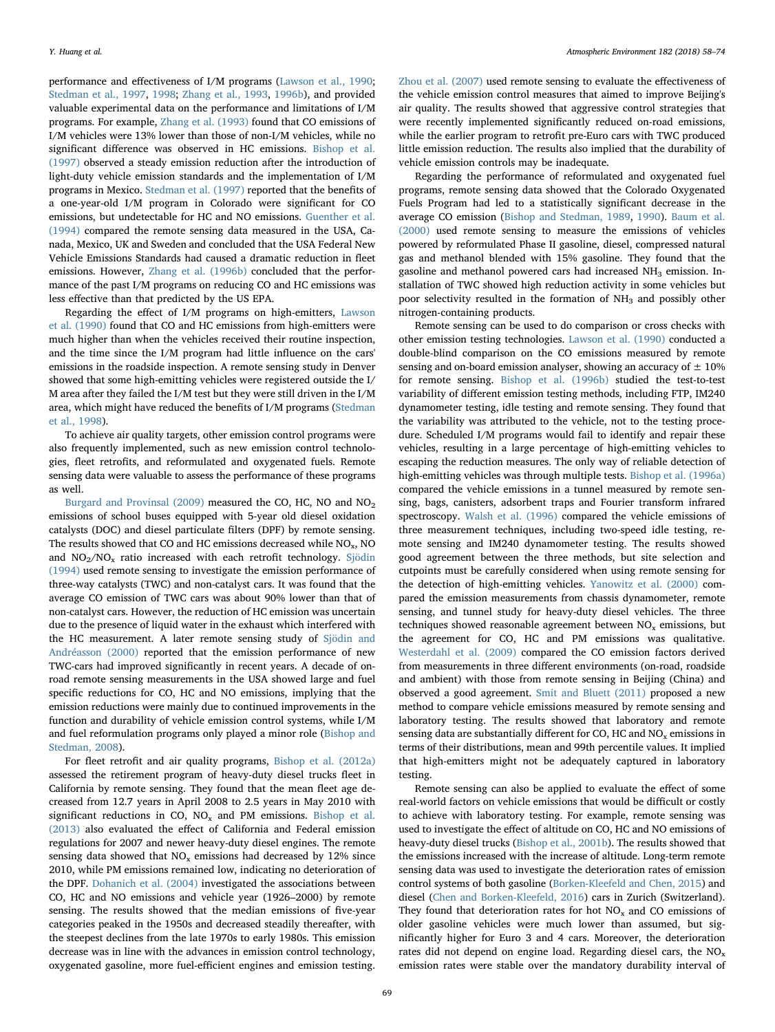performance and effectiveness of I/M programs [\(Lawson et al., 1990](#page-16-50); [Stedman et al., 1997](#page-17-42), [1998](#page-17-43); [Zhang et al., 1993,](#page-17-12) [1996b](#page-17-44)), and provided valuable experimental data on the performance and limitations of I/M programs. For example, [Zhang et al. \(1993\)](#page-17-12) found that CO emissions of I/M vehicles were 13% lower than those of non-I/M vehicles, while no significant difference was observed in HC emissions. [Bishop et al.](#page-16-51) [\(1997\)](#page-16-51) observed a steady emission reduction after the introduction of light-duty vehicle emission standards and the implementation of I/M programs in Mexico. [Stedman et al. \(1997\)](#page-17-42) reported that the benefits of a one-year-old I/M program in Colorado were significant for CO emissions, but undetectable for HC and NO emissions. [Guenther et al.](#page-16-37) [\(1994\)](#page-16-37) compared the remote sensing data measured in the USA, Canada, Mexico, UK and Sweden and concluded that the USA Federal New Vehicle Emissions Standards had caused a dramatic reduction in fleet emissions. However, [Zhang et al. \(1996b\)](#page-17-44) concluded that the performance of the past I/M programs on reducing CO and HC emissions was less effective than that predicted by the US EPA.

Regarding the effect of I/M programs on high-emitters, [Lawson](#page-16-50) [et al. \(1990\)](#page-16-50) found that CO and HC emissions from high-emitters were much higher than when the vehicles received their routine inspection, and the time since the I/M program had little influence on the cars' emissions in the roadside inspection. A remote sensing study in Denver showed that some high-emitting vehicles were registered outside the I/ M area after they failed the I/M test but they were still driven in the I/M area, which might have reduced the benefits of I/M programs [\(Stedman](#page-17-43) [et al., 1998](#page-17-43)).

To achieve air quality targets, other emission control programs were also frequently implemented, such as new emission control technologies, fleet retrofits, and reformulated and oxygenated fuels. Remote sensing data were valuable to assess the performance of these programs as well.

[Burgard and Provinsal \(2009\)](#page-16-25) measured the CO, HC, NO and NO2 emissions of school buses equipped with 5-year old diesel oxidation catalysts (DOC) and diesel particulate filters (DPF) by remote sensing. The results showed that CO and HC emissions decreased while  $NO<sub>x</sub>$ , NO and  $NO<sub>2</sub>/NO<sub>x</sub>$  ratio increased with each retrofit technology. [Sjödin](#page-17-45) [\(1994\)](#page-17-45) used remote sensing to investigate the emission performance of three-way catalysts (TWC) and non-catalyst cars. It was found that the average CO emission of TWC cars was about 90% lower than that of non-catalyst cars. However, the reduction of HC emission was uncertain due to the presence of liquid water in the exhaust which interfered with the HC measurement. A later remote sensing study of [Sjödin and](#page-17-46) [Andréasson \(2000\)](#page-17-46) reported that the emission performance of new TWC-cars had improved significantly in recent years. A decade of onroad remote sensing measurements in the USA showed large and fuel specific reductions for CO, HC and NO emissions, implying that the emission reductions were mainly due to continued improvements in the function and durability of vehicle emission control systems, while I/M and fuel reformulation programs only played a minor role [\(Bishop and](#page-16-26) [Stedman, 2008](#page-16-26)).

For fleet retrofit and air quality programs, [Bishop et al. \(2012a\)](#page-15-2) assessed the retirement program of heavy-duty diesel trucks fleet in California by remote sensing. They found that the mean fleet age decreased from 12.7 years in April 2008 to 2.5 years in May 2010 with significant reductions in CO,  $NO<sub>x</sub>$  and PM emissions. [Bishop et al.](#page-15-9) [\(2013\)](#page-15-9) also evaluated the effect of California and Federal emission regulations for 2007 and newer heavy-duty diesel engines. The remote sensing data showed that  $NO<sub>x</sub>$  emissions had decreased by 12% since 2010, while PM emissions remained low, indicating no deterioration of the DPF. [Dohanich et al. \(2004\)](#page-16-52) investigated the associations between CO, HC and NO emissions and vehicle year (1926–2000) by remote sensing. The results showed that the median emissions of five-year categories peaked in the 1950s and decreased steadily thereafter, with the steepest declines from the late 1970s to early 1980s. This emission decrease was in line with the advances in emission control technology, oxygenated gasoline, more fuel-efficient engines and emission testing.

[Zhou et al. \(2007\)](#page-17-47) used remote sensing to evaluate the effectiveness of the vehicle emission control measures that aimed to improve Beijing's air quality. The results showed that aggressive control strategies that were recently implemented significantly reduced on-road emissions, while the earlier program to retrofit pre-Euro cars with TWC produced little emission reduction. The results also implied that the durability of vehicle emission controls may be inadequate.

Regarding the performance of reformulated and oxygenated fuel programs, remote sensing data showed that the Colorado Oxygenated Fuels Program had led to a statistically significant decrease in the average CO emission ([Bishop and Stedman, 1989,](#page-16-53) [1990\)](#page-16-54). [Baum et al.](#page-15-10) [\(2000\)](#page-15-10) used remote sensing to measure the emissions of vehicles powered by reformulated Phase II gasoline, diesel, compressed natural gas and methanol blended with 15% gasoline. They found that the gasoline and methanol powered cars had increased  $NH<sub>3</sub>$  emission. Installation of TWC showed high reduction activity in some vehicles but poor selectivity resulted in the formation of  $NH<sub>3</sub>$  and possibly other nitrogen-containing products.

Remote sensing can be used to do comparison or cross checks with other emission testing technologies. [Lawson et al. \(1990\)](#page-16-50) conducted a double-blind comparison on the CO emissions measured by remote sensing and on-board emission analyser, showing an accuracy of  $\pm 10\%$ for remote sensing. [Bishop et al. \(1996b\)](#page-16-55) studied the test-to-test variability of different emission testing methods, including FTP, IM240 dynamometer testing, idle testing and remote sensing. They found that the variability was attributed to the vehicle, not to the testing procedure. Scheduled I/M programs would fail to identify and repair these vehicles, resulting in a large percentage of high-emitting vehicles to escaping the reduction measures. The only way of reliable detection of high-emitting vehicles was through multiple tests. [Bishop et al. \(1996a\)](#page-15-11) compared the vehicle emissions in a tunnel measured by remote sensing, bags, canisters, adsorbent traps and Fourier transform infrared spectroscopy. [Walsh et al. \(1996\)](#page-17-48) compared the vehicle emissions of three measurement techniques, including two-speed idle testing, remote sensing and IM240 dynamometer testing. The results showed good agreement between the three methods, but site selection and cutpoints must be carefully considered when using remote sensing for the detection of high-emitting vehicles. [Yanowitz et al. \(2000\)](#page-17-49) compared the emission measurements from chassis dynamometer, remote sensing, and tunnel study for heavy-duty diesel vehicles. The three techniques showed reasonable agreement between  $NO<sub>x</sub>$  emissions, but the agreement for CO, HC and PM emissions was qualitative. [Westerdahl et al. \(2009\)](#page-17-50) compared the CO emission factors derived from measurements in three different environments (on-road, roadside and ambient) with those from remote sensing in Beijing (China) and observed a good agreement. [Smit and Bluett \(2011\)](#page-17-51) proposed a new method to compare vehicle emissions measured by remote sensing and laboratory testing. The results showed that laboratory and remote sensing data are substantially different for CO, HC and  $NO<sub>x</sub>$  emissions in terms of their distributions, mean and 99th percentile values. It implied that high-emitters might not be adequately captured in laboratory testing.

Remote sensing can also be applied to evaluate the effect of some real-world factors on vehicle emissions that would be difficult or costly to achieve with laboratory testing. For example, remote sensing was used to investigate the effect of altitude on CO, HC and NO emissions of heavy-duty diesel trucks [\(Bishop et al., 2001b](#page-15-4)). The results showed that the emissions increased with the increase of altitude. Long-term remote sensing data was used to investigate the deterioration rates of emission control systems of both gasoline [\(Borken-Kleefeld and Chen, 2015](#page-16-56)) and diesel ([Chen and Borken-Kleefeld, 2016](#page-16-57)) cars in Zurich (Switzerland). They found that deterioration rates for hot  $NO<sub>x</sub>$  and CO emissions of older gasoline vehicles were much lower than assumed, but significantly higher for Euro 3 and 4 cars. Moreover, the deterioration rates did not depend on engine load. Regarding diesel cars, the  $NO<sub>x</sub>$ emission rates were stable over the mandatory durability interval of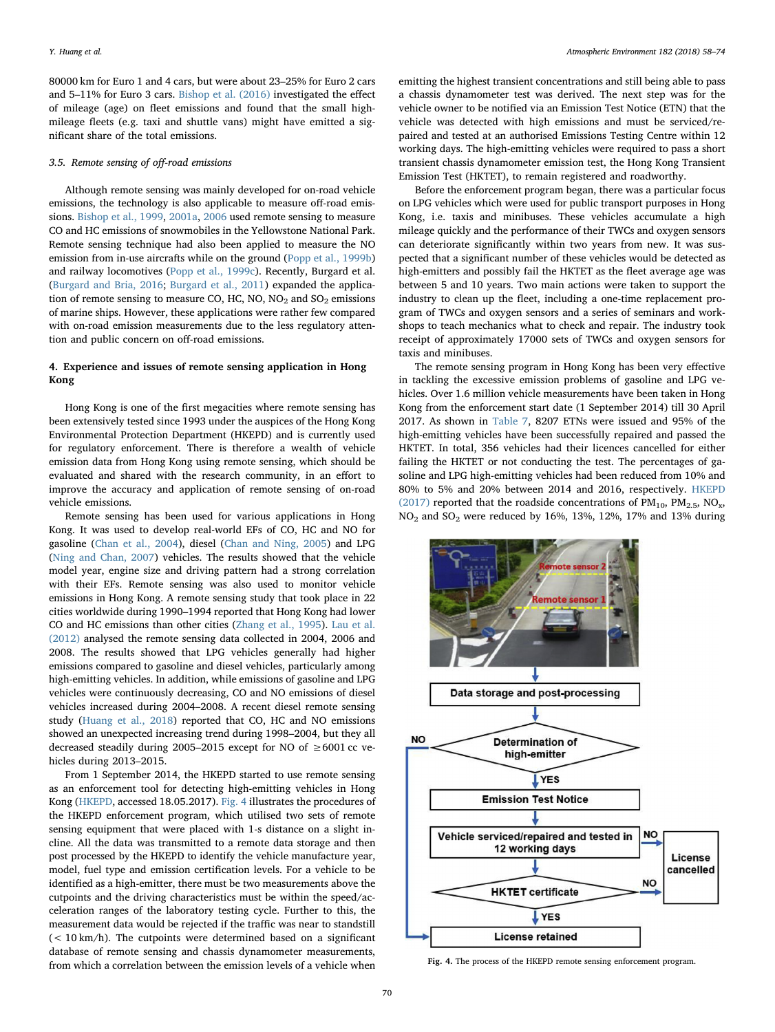80000 km for Euro 1 and 4 cars, but were about 23–25% for Euro 2 cars and 5–11% for Euro 3 cars. [Bishop et al. \(2016\)](#page-16-14) investigated the effect of mileage (age) on fleet emissions and found that the small highmileage fleets (e.g. taxi and shuttle vans) might have emitted a significant share of the total emissions.

# 3.5. Remote sensing of off-road emissions

Although remote sensing was mainly developed for on-road vehicle emissions, the technology is also applicable to measure off-road emissions. [Bishop et al., 1999,](#page-16-58) [2001a,](#page-15-12) [2006](#page-15-13) used remote sensing to measure CO and HC emissions of snowmobiles in the Yellowstone National Park. Remote sensing technique had also been applied to measure the NO emission from in-use aircrafts while on the ground [\(Popp et al., 1999b\)](#page-17-52) and railway locomotives ([Popp et al., 1999c](#page-17-53)). Recently, Burgard et al. ([Burgard and Bria, 2016;](#page-16-59) [Burgard et al., 2011\)](#page-16-60) expanded the application of remote sensing to measure CO, HC, NO,  $NO<sub>2</sub>$  and  $SO<sub>2</sub>$  emissions of marine ships. However, these applications were rather few compared with on-road emission measurements due to the less regulatory attention and public concern on off-road emissions.

# <span id="page-13-0"></span>4. Experience and issues of remote sensing application in Hong Kong

Hong Kong is one of the first megacities where remote sensing has been extensively tested since 1993 under the auspices of the Hong Kong Environmental Protection Department (HKEPD) and is currently used for regulatory enforcement. There is therefore a wealth of vehicle emission data from Hong Kong using remote sensing, which should be evaluated and shared with the research community, in an effort to improve the accuracy and application of remote sensing of on-road vehicle emissions.

Remote sensing has been used for various applications in Hong Kong. It was used to develop real-world EFs of CO, HC and NO for gasoline [\(Chan et al., 2004](#page-16-45)), diesel ([Chan and Ning, 2005](#page-16-18)) and LPG ([Ning and Chan, 2007\)](#page-17-41) vehicles. The results showed that the vehicle model year, engine size and driving pattern had a strong correlation with their EFs. Remote sensing was also used to monitor vehicle emissions in Hong Kong. A remote sensing study that took place in 22 cities worldwide during 1990–1994 reported that Hong Kong had lower CO and HC emissions than other cities [\(Zhang et al., 1995](#page-17-15)). [Lau et al.](#page-16-40) [\(2012\)](#page-16-40) analysed the remote sensing data collected in 2004, 2006 and 2008. The results showed that LPG vehicles generally had higher emissions compared to gasoline and diesel vehicles, particularly among high-emitting vehicles. In addition, while emissions of gasoline and LPG vehicles were continuously decreasing, CO and NO emissions of diesel vehicles increased during 2004–2008. A recent diesel remote sensing study [\(Huang et al., 2018](#page-16-61)) reported that CO, HC and NO emissions showed an unexpected increasing trend during 1998–2004, but they all decreased steadily during 2005–2015 except for NO of  $\geq 6001$  cc vehicles during 2013–2015.

From 1 September 2014, the HKEPD started to use remote sensing as an enforcement tool for detecting high-emitting vehicles in Hong Kong ([HKEPD](#page-16-62), accessed 18.05.2017). [Fig. 4](#page-13-1) illustrates the procedures of the HKEPD enforcement program, which utilised two sets of remote sensing equipment that were placed with 1-s distance on a slight incline. All the data was transmitted to a remote data storage and then post processed by the HKEPD to identify the vehicle manufacture year, model, fuel type and emission certification levels. For a vehicle to be identified as a high-emitter, there must be two measurements above the cutpoints and the driving characteristics must be within the speed/acceleration ranges of the laboratory testing cycle. Further to this, the measurement data would be rejected if the traffic was near to standstill  $(< 10 \text{ km/h})$ . The cutpoints were determined based on a significant database of remote sensing and chassis dynamometer measurements, from which a correlation between the emission levels of a vehicle when

emitting the highest transient concentrations and still being able to pass a chassis dynamometer test was derived. The next step was for the vehicle owner to be notified via an Emission Test Notice (ETN) that the vehicle was detected with high emissions and must be serviced/repaired and tested at an authorised Emissions Testing Centre within 12 working days. The high-emitting vehicles were required to pass a short transient chassis dynamometer emission test, the Hong Kong Transient Emission Test (HKTET), to remain registered and roadworthy.

Before the enforcement program began, there was a particular focus on LPG vehicles which were used for public transport purposes in Hong Kong, i.e. taxis and minibuses. These vehicles accumulate a high mileage quickly and the performance of their TWCs and oxygen sensors can deteriorate significantly within two years from new. It was suspected that a significant number of these vehicles would be detected as high-emitters and possibly fail the HKTET as the fleet average age was between 5 and 10 years. Two main actions were taken to support the industry to clean up the fleet, including a one-time replacement program of TWCs and oxygen sensors and a series of seminars and workshops to teach mechanics what to check and repair. The industry took receipt of approximately 17000 sets of TWCs and oxygen sensors for taxis and minibuses.

The remote sensing program in Hong Kong has been very effective in tackling the excessive emission problems of gasoline and LPG vehicles. Over 1.6 million vehicle measurements have been taken in Hong Kong from the enforcement start date (1 September 2014) till 30 April 2017. As shown in [Table 7](#page-14-0), 8207 ETNs were issued and 95% of the high-emitting vehicles have been successfully repaired and passed the HKTET. In total, 356 vehicles had their licences cancelled for either failing the HKTET or not conducting the test. The percentages of gasoline and LPG high-emitting vehicles had been reduced from 10% and 80% to 5% and 20% between 2014 and 2016, respectively. [HKEPD](#page-16-63) [\(2017\)](#page-16-63) reported that the roadside concentrations of  $PM_{10}$ ,  $PM_{2.5}$ ,  $NO<sub>x</sub>$ ,  $NO<sub>2</sub>$  and  $SO<sub>2</sub>$  were reduced by 16%, 13%, 12%, 17% and 13% during

<span id="page-13-1"></span>

Fig. 4. The process of the HKEPD remote sensing enforcement program.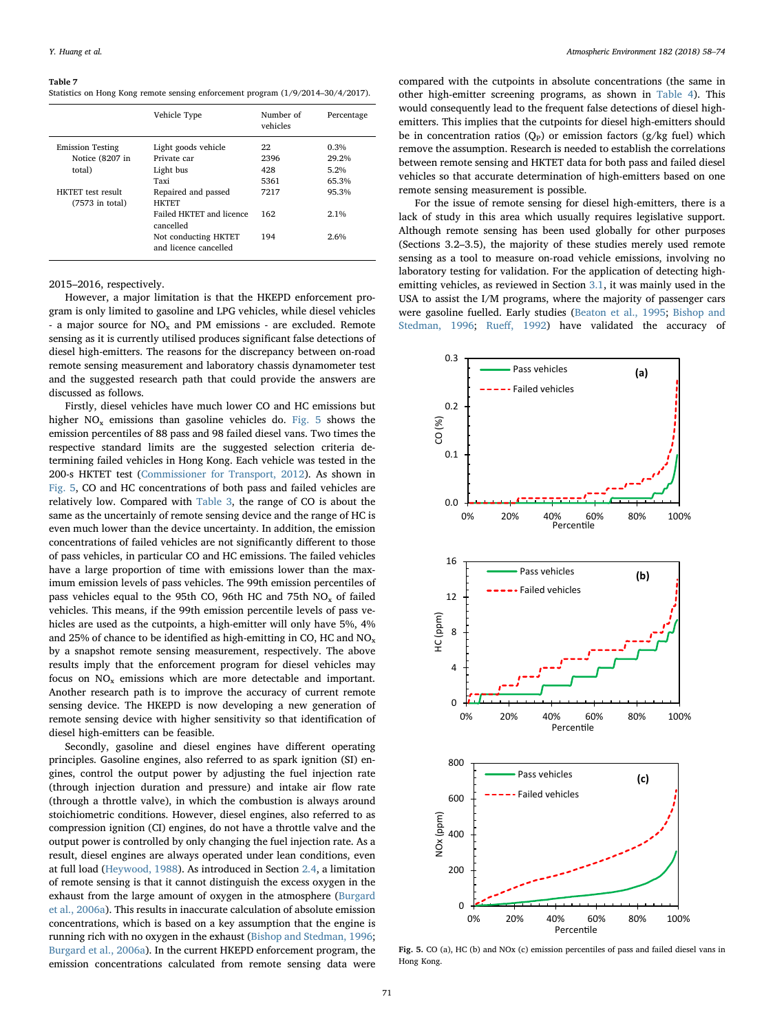#### <span id="page-14-0"></span>Table 7

Statistics on Hong Kong remote sensing enforcement program (1/9/2014–30/4/2017).

|                                        | Vehicle Type                                  | Number of<br>vehicles | Percentage |
|----------------------------------------|-----------------------------------------------|-----------------------|------------|
| <b>Emission Testing</b>                | Light goods vehicle                           | 22                    | $0.3\%$    |
| Notice (8207 in                        | Private car                                   | 2396                  | 29.2%      |
| total)                                 | Light bus                                     | 428                   | $5.2\%$    |
|                                        | Taxi                                          | 5361                  | 65.3%      |
| HKTET test result<br>$(7573$ in total) | Repaired and passed<br><b>HKTET</b>           | 7217                  | 95.3%      |
|                                        | <b>Failed HKTET and licence</b><br>cancelled  | 162                   | $2.1\%$    |
|                                        | Not conducting HKTET<br>and licence cancelled | 194                   | 2.6%       |

#### 2015–2016, respectively.

However, a major limitation is that the HKEPD enforcement program is only limited to gasoline and LPG vehicles, while diesel vehicles - a major source for  $NO<sub>x</sub>$  and PM emissions - are excluded. Remote sensing as it is currently utilised produces significant false detections of diesel high-emitters. The reasons for the discrepancy between on-road remote sensing measurement and laboratory chassis dynamometer test and the suggested research path that could provide the answers are discussed as follows.

Firstly, diesel vehicles have much lower CO and HC emissions but higher  $NO<sub>x</sub>$  emissions than gasoline vehicles do. [Fig. 5](#page-14-1) shows the emission percentiles of 88 pass and 98 failed diesel vans. Two times the respective standard limits are the suggested selection criteria determining failed vehicles in Hong Kong. Each vehicle was tested in the 200-s HKTET test ([Commissioner for Transport, 2012](#page-16-64)). As shown in [Fig. 5](#page-14-1), CO and HC concentrations of both pass and failed vehicles are relatively low. Compared with [Table 3](#page-5-0), the range of CO is about the same as the uncertainly of remote sensing device and the range of HC is even much lower than the device uncertainty. In addition, the emission concentrations of failed vehicles are not significantly different to those of pass vehicles, in particular CO and HC emissions. The failed vehicles have a large proportion of time with emissions lower than the maximum emission levels of pass vehicles. The 99th emission percentiles of pass vehicles equal to the 95th CO, 96th HC and 75th  $NO<sub>x</sub>$  of failed vehicles. This means, if the 99th emission percentile levels of pass vehicles are used as the cutpoints, a high-emitter will only have 5%, 4% and 25% of chance to be identified as high-emitting in CO, HC and  $NO<sub>x</sub>$ by a snapshot remote sensing measurement, respectively. The above results imply that the enforcement program for diesel vehicles may focus on  $NO<sub>x</sub>$  emissions which are more detectable and important. Another research path is to improve the accuracy of current remote sensing device. The HKEPD is now developing a new generation of remote sensing device with higher sensitivity so that identification of diesel high-emitters can be feasible.

Secondly, gasoline and diesel engines have different operating principles. Gasoline engines, also referred to as spark ignition (SI) engines, control the output power by adjusting the fuel injection rate (through injection duration and pressure) and intake air flow rate (through a throttle valve), in which the combustion is always around stoichiometric conditions. However, diesel engines, also referred to as compression ignition (CI) engines, do not have a throttle valve and the output power is controlled by only changing the fuel injection rate. As a result, diesel engines are always operated under lean conditions, even at full load ([Heywood, 1988\)](#page-16-19). As introduced in Section [2.4](#page-5-4), a limitation of remote sensing is that it cannot distinguish the excess oxygen in the exhaust from the large amount of oxygen in the atmosphere [\(Burgard](#page-16-10) [et al., 2006a\)](#page-16-10). This results in inaccurate calculation of absolute emission concentrations, which is based on a key assumption that the engine is running rich with no oxygen in the exhaust ([Bishop and Stedman, 1996](#page-16-12); [Burgard et al., 2006a\)](#page-16-10). In the current HKEPD enforcement program, the emission concentrations calculated from remote sensing data were

compared with the cutpoints in absolute concentrations (the same in other high-emitter screening programs, as shown in [Table 4](#page-7-0)). This would consequently lead to the frequent false detections of diesel highemitters. This implies that the cutpoints for diesel high-emitters should be in concentration ratios  $(Q_P)$  or emission factors (g/kg fuel) which remove the assumption. Research is needed to establish the correlations between remote sensing and HKTET data for both pass and failed diesel vehicles so that accurate determination of high-emitters based on one remote sensing measurement is possible.

For the issue of remote sensing for diesel high-emitters, there is a lack of study in this area which usually requires legislative support. Although remote sensing has been used globally for other purposes (Sections 3.2–3.5), the majority of these studies merely used remote sensing as a tool to measure on-road vehicle emissions, involving no laboratory testing for validation. For the application of detecting highemitting vehicles, as reviewed in Section [3.1](#page-6-0), it was mainly used in the USA to assist the I/M programs, where the majority of passenger cars were gasoline fuelled. Early studies ([Beaton et al., 1995;](#page-15-1) [Bishop and](#page-16-12) [Stedman, 1996;](#page-16-12) Rueff[, 1992](#page-17-27)) have validated the accuracy of

<span id="page-14-1"></span>

Fig. 5. CO (a), HC (b) and NOx (c) emission percentiles of pass and failed diesel vans in Hong Kong.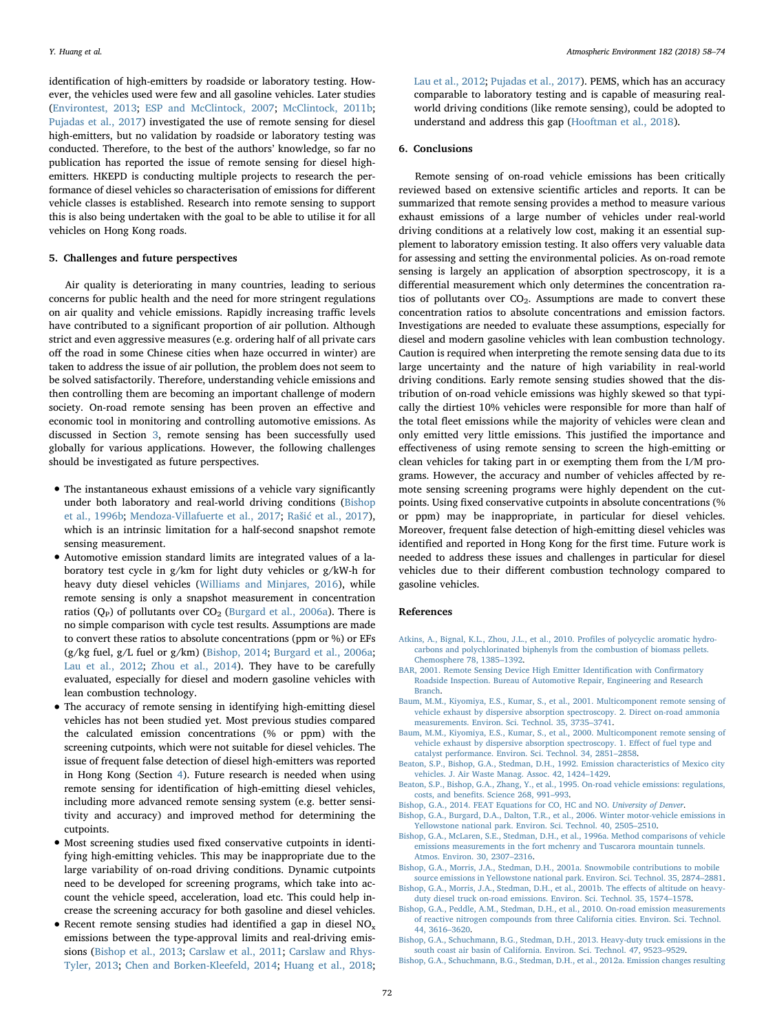identification of high-emitters by roadside or laboratory testing. However, the vehicles used were few and all gasoline vehicles. Later studies ([Environtest, 2013](#page-16-34); [ESP and McClintock, 2007](#page-16-28); [McClintock, 2011b](#page-17-30); [Pujadas et al., 2017](#page-17-7)) investigated the use of remote sensing for diesel high-emitters, but no validation by roadside or laboratory testing was conducted. Therefore, to the best of the authors' knowledge, so far no publication has reported the issue of remote sensing for diesel highemitters. HKEPD is conducting multiple projects to research the performance of diesel vehicles so characterisation of emissions for different vehicle classes is established. Research into remote sensing to support this is also being undertaken with the goal to be able to utilise it for all vehicles on Hong Kong roads.

# 5. Challenges and future perspectives

Air quality is deteriorating in many countries, leading to serious concerns for public health and the need for more stringent regulations on air quality and vehicle emissions. Rapidly increasing traffic levels have contributed to a significant proportion of air pollution. Although strict and even aggressive measures (e.g. ordering half of all private cars off the road in some Chinese cities when haze occurred in winter) are taken to address the issue of air pollution, the problem does not seem to be solved satisfactorily. Therefore, understanding vehicle emissions and then controlling them are becoming an important challenge of modern society. On-road remote sensing has been proven an effective and economic tool in monitoring and controlling automotive emissions. As discussed in Section [3,](#page-6-1) remote sensing has been successfully used globally for various applications. However, the following challenges should be investigated as future perspectives.

- The instantaneous exhaust emissions of a vehicle vary significantly under both laboratory and real-world driving conditions ([Bishop](#page-16-55) [et al., 1996b;](#page-16-55) [Mendoza-Villafuerte et al., 2017;](#page-17-54) Rašić [et al., 2017](#page-17-8)), which is an intrinsic limitation for a half-second snapshot remote sensing measurement.
- Automotive emission standard limits are integrated values of a laboratory test cycle in g/km for light duty vehicles or g/kW-h for heavy duty diesel vehicles ([Williams and Minjares, 2016\)](#page-17-55), while remote sensing is only a snapshot measurement in concentration ratios ( $Q_P$ ) of pollutants over  $CO_2$  ([Burgard et al., 2006a](#page-16-10)). There is no simple comparison with cycle test results. Assumptions are made to convert these ratios to absolute concentrations (ppm or %) or EFs (g/kg fuel, g/L fuel or g/km) ([Bishop, 2014;](#page-15-3) [Burgard et al., 2006a](#page-16-10); [Lau et al., 2012](#page-16-40); [Zhou et al., 2014](#page-17-22)). They have to be carefully evaluated, especially for diesel and modern gasoline vehicles with lean combustion technology.
- The accuracy of remote sensing in identifying high-emitting diesel vehicles has not been studied yet. Most previous studies compared the calculated emission concentrations (% or ppm) with the screening cutpoints, which were not suitable for diesel vehicles. The issue of frequent false detection of diesel high-emitters was reported in Hong Kong (Section [4\)](#page-13-0). Future research is needed when using remote sensing for identification of high-emitting diesel vehicles, including more advanced remote sensing system (e.g. better sensitivity and accuracy) and improved method for determining the cutpoints.
- Most screening studies used fixed conservative cutpoints in identifying high-emitting vehicles. This may be inappropriate due to the large variability of on-road driving conditions. Dynamic cutpoints need to be developed for screening programs, which take into account the vehicle speed, acceleration, load etc. This could help increase the screening accuracy for both gasoline and diesel vehicles.
- Recent remote sensing studies had identified a gap in diesel  $NO<sub>x</sub>$ emissions between the type-approval limits and real-driving emissions ([Bishop et al., 2013](#page-15-9); [Carslaw et al., 2011](#page-16-4); [Carslaw and Rhys-](#page-16-5)[Tyler, 2013](#page-16-5); [Chen and Borken-Kleefeld, 2014](#page-16-6); [Huang et al., 2018](#page-16-61);

[Lau et al., 2012;](#page-16-40) [Pujadas et al., 2017](#page-17-7)). PEMS, which has an accuracy comparable to laboratory testing and is capable of measuring realworld driving conditions (like remote sensing), could be adopted to understand and address this gap [\(Hooftman et al., 2018\)](#page-16-65).

#### 6. Conclusions

Remote sensing of on-road vehicle emissions has been critically reviewed based on extensive scientific articles and reports. It can be summarized that remote sensing provides a method to measure various exhaust emissions of a large number of vehicles under real-world driving conditions at a relatively low cost, making it an essential supplement to laboratory emission testing. It also offers very valuable data for assessing and setting the environmental policies. As on-road remote sensing is largely an application of absorption spectroscopy, it is a differential measurement which only determines the concentration ratios of pollutants over  $CO<sub>2</sub>$ . Assumptions are made to convert these concentration ratios to absolute concentrations and emission factors. Investigations are needed to evaluate these assumptions, especially for diesel and modern gasoline vehicles with lean combustion technology. Caution is required when interpreting the remote sensing data due to its large uncertainty and the nature of high variability in real-world driving conditions. Early remote sensing studies showed that the distribution of on-road vehicle emissions was highly skewed so that typically the dirtiest 10% vehicles were responsible for more than half of the total fleet emissions while the majority of vehicles were clean and only emitted very little emissions. This justified the importance and effectiveness of using remote sensing to screen the high-emitting or clean vehicles for taking part in or exempting them from the I/M programs. However, the accuracy and number of vehicles affected by remote sensing screening programs were highly dependent on the cutpoints. Using fixed conservative cutpoints in absolute concentrations (% or ppm) may be inappropriate, in particular for diesel vehicles. Moreover, frequent false detection of high-emitting diesel vehicles was identified and reported in Hong Kong for the first time. Future work is needed to address these issues and challenges in particular for diesel vehicles due to their different combustion technology compared to gasoline vehicles.

#### References

- <span id="page-15-0"></span>[Atkins, A., Bignal, K.L., Zhou, J.L., et al., 2010. Pro](http://refhub.elsevier.com/S1352-2310(18)30187-0/sref1)files of polycyclic aromatic hydro[carbons and polychlorinated biphenyls from the combustion of biomass pellets.](http://refhub.elsevier.com/S1352-2310(18)30187-0/sref1) [Chemosphere 78, 1385](http://refhub.elsevier.com/S1352-2310(18)30187-0/sref1)–1392.
- <span id="page-15-5"></span>[BAR, 2001. Remote Sensing Device High Emitter Identi](http://refhub.elsevier.com/S1352-2310(18)30187-0/sref2)fication with Confirmatory [Roadside Inspection. Bureau of Automotive Repair, Engineering and Research](http://refhub.elsevier.com/S1352-2310(18)30187-0/sref2) [Branch](http://refhub.elsevier.com/S1352-2310(18)30187-0/sref2).
- <span id="page-15-6"></span>[Baum, M.M., Kiyomiya, E.S., Kumar, S., et al., 2001. Multicomponent remote sensing of](http://refhub.elsevier.com/S1352-2310(18)30187-0/sref3) [vehicle exhaust by dispersive absorption spectroscopy. 2. Direct on-road ammonia](http://refhub.elsevier.com/S1352-2310(18)30187-0/sref3) [measurements. Environ. Sci. Technol. 35, 3735](http://refhub.elsevier.com/S1352-2310(18)30187-0/sref3)–3741.
- <span id="page-15-10"></span>[Baum, M.M., Kiyomiya, E.S., Kumar, S., et al., 2000. Multicomponent remote sensing of](http://refhub.elsevier.com/S1352-2310(18)30187-0/sref4) [vehicle exhaust by dispersive absorption spectroscopy. 1. E](http://refhub.elsevier.com/S1352-2310(18)30187-0/sref4)ffect of fuel type and [catalyst performance. Environ. Sci. Technol. 34, 2851](http://refhub.elsevier.com/S1352-2310(18)30187-0/sref4)–2858.
- <span id="page-15-7"></span>[Beaton, S.P., Bishop, G.A., Stedman, D.H., 1992. Emission characteristics of Mexico city](http://refhub.elsevier.com/S1352-2310(18)30187-0/sref5) [vehicles. J. Air Waste Manag. Assoc. 42, 1424](http://refhub.elsevier.com/S1352-2310(18)30187-0/sref5)–1429.
- <span id="page-15-1"></span>[Beaton, S.P., Bishop, G.A., Zhang, Y., et al., 1995. On-road vehicle emissions: regulations,](http://refhub.elsevier.com/S1352-2310(18)30187-0/sref6) costs, and benefi[ts. Science 268, 991](http://refhub.elsevier.com/S1352-2310(18)30187-0/sref6)–993.
- <span id="page-15-3"></span>[Bishop, G.A., 2014. FEAT Equations for CO, HC and NO.](http://refhub.elsevier.com/S1352-2310(18)30187-0/sref7) University of Denver.
- <span id="page-15-13"></span>[Bishop, G.A., Burgard, D.A., Dalton, T.R., et al., 2006. Winter motor-vehicle emissions in](http://refhub.elsevier.com/S1352-2310(18)30187-0/sref8) [Yellowstone national park. Environ. Sci. Technol. 40, 2505](http://refhub.elsevier.com/S1352-2310(18)30187-0/sref8)–2510.
- <span id="page-15-11"></span>[Bishop, G.A., McLaren, S.E., Stedman, D.H., et al., 1996a. Method comparisons of vehicle](http://refhub.elsevier.com/S1352-2310(18)30187-0/sref9) [emissions measurements in the fort mchenry and Tuscarora mountain tunnels.](http://refhub.elsevier.com/S1352-2310(18)30187-0/sref9) [Atmos. Environ. 30, 2307](http://refhub.elsevier.com/S1352-2310(18)30187-0/sref9)–2316.
- <span id="page-15-12"></span>[Bishop, G.A., Morris, J.A., Stedman, D.H., 2001a. Snowmobile contributions to mobile](http://refhub.elsevier.com/S1352-2310(18)30187-0/sref10) [source emissions in Yellowstone national park. Environ. Sci. Technol. 35, 2874](http://refhub.elsevier.com/S1352-2310(18)30187-0/sref10)–2881.
- <span id="page-15-4"></span>[Bishop, G.A., Morris, J.A., Stedman, D.H., et al., 2001b. The e](http://refhub.elsevier.com/S1352-2310(18)30187-0/sref11)ffects of altitude on heavy[duty diesel truck on-road emissions. Environ. Sci. Technol. 35, 1574](http://refhub.elsevier.com/S1352-2310(18)30187-0/sref11)–1578.
- <span id="page-15-8"></span>[Bishop, G.A., Peddle, A.M., Stedman, D.H., et al., 2010. On-road emission measurements](http://refhub.elsevier.com/S1352-2310(18)30187-0/sref12) [of reactive nitrogen compounds from three California cities. Environ. Sci. Technol.](http://refhub.elsevier.com/S1352-2310(18)30187-0/sref12) [44, 3616](http://refhub.elsevier.com/S1352-2310(18)30187-0/sref12)–3620.
- <span id="page-15-9"></span>[Bishop, G.A., Schuchmann, B.G., Stedman, D.H., 2013. Heavy-duty truck emissions in the](http://refhub.elsevier.com/S1352-2310(18)30187-0/sref13) [south coast air basin of California. Environ. Sci. Technol. 47, 9523](http://refhub.elsevier.com/S1352-2310(18)30187-0/sref13)–9529.
- <span id="page-15-2"></span>[Bishop, G.A., Schuchmann, B.G., Stedman, D.H., et al., 2012a. Emission changes resulting](http://refhub.elsevier.com/S1352-2310(18)30187-0/sref14)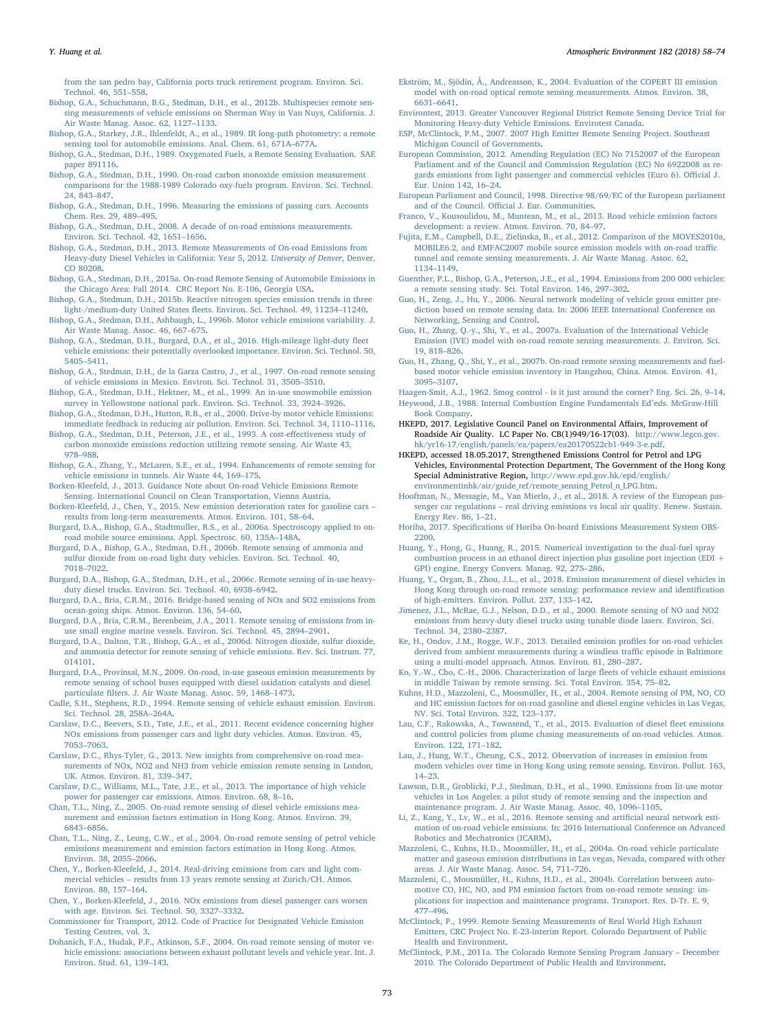[from the san pedro bay, California ports truck retirement program. Environ. Sci.](http://refhub.elsevier.com/S1352-2310(18)30187-0/sref14) [Technol. 46, 551](http://refhub.elsevier.com/S1352-2310(18)30187-0/sref14)–558.

- <span id="page-16-36"></span>[Bishop, G.A., Schuchmann, B.G., Stedman, D.H., et al., 2012b. Multispecies remote sen](http://refhub.elsevier.com/S1352-2310(18)30187-0/sref15)[sing measurements of vehicle emissions on Sherman Way in Van Nuys, California. J.](http://refhub.elsevier.com/S1352-2310(18)30187-0/sref15) [Air Waste Manag. Assoc. 62, 1127](http://refhub.elsevier.com/S1352-2310(18)30187-0/sref15)–1133.
- <span id="page-16-11"></span>[Bishop, G.A., Starkey, J.R., Ihlenfeldt, A., et al., 1989. IR long-path photometry: a remote](http://refhub.elsevier.com/S1352-2310(18)30187-0/sref16) [sensing tool for automobile emissions. Anal. Chem. 61, 671A](http://refhub.elsevier.com/S1352-2310(18)30187-0/sref16)–677A.
- <span id="page-16-53"></span>[Bishop, G.A., Stedman, D.H., 1989. Oxygenated Fuels, a Remote Sensing Evaluation. SAE](http://refhub.elsevier.com/S1352-2310(18)30187-0/sref17) [paper 891116](http://refhub.elsevier.com/S1352-2310(18)30187-0/sref17).
- <span id="page-16-54"></span>[Bishop, G.A., Stedman, D.H., 1990. On-road carbon monoxide emission measurement](http://refhub.elsevier.com/S1352-2310(18)30187-0/sref18) [comparisons for the 1988-1989 Colorado oxy-fuels program. Environ. Sci. Technol.](http://refhub.elsevier.com/S1352-2310(18)30187-0/sref18) [24, 843](http://refhub.elsevier.com/S1352-2310(18)30187-0/sref18)–847.
- <span id="page-16-12"></span>[Bishop, G.A., Stedman, D.H., 1996. Measuring the emissions of passing cars. Accounts](http://refhub.elsevier.com/S1352-2310(18)30187-0/sref19) [Chem. Res. 29, 489](http://refhub.elsevier.com/S1352-2310(18)30187-0/sref19)–495.
- <span id="page-16-26"></span>[Bishop, G.A., Stedman, D.H., 2008. A decade of on-road emissions measurements.](http://refhub.elsevier.com/S1352-2310(18)30187-0/sref20) [Environ. Sci. Technol. 42, 1651](http://refhub.elsevier.com/S1352-2310(18)30187-0/sref20)–1656.
- <span id="page-16-21"></span>[Bishop, G.A., Stedman, D.H., 2013. Remote Measurements of On-road Emissions from](http://refhub.elsevier.com/S1352-2310(18)30187-0/sref21) [Heavy-duty Diesel Vehicles in California: Year 5, 2012.](http://refhub.elsevier.com/S1352-2310(18)30187-0/sref21) University of Denver, Denver, [CO 80208](http://refhub.elsevier.com/S1352-2310(18)30187-0/sref21).
- <span id="page-16-15"></span>[Bishop, G.A., Stedman, D.H., 2015a. On-road Remote Sensing of Automobile Emissions in](http://refhub.elsevier.com/S1352-2310(18)30187-0/sref22) [the Chicago Area: Fall 2014. CRC Report No. E-106, Georgia USA.](http://refhub.elsevier.com/S1352-2310(18)30187-0/sref22)
- <span id="page-16-41"></span>[Bishop, G.A., Stedman, D.H., 2015b. Reactive nitrogen species emission trends in three](http://refhub.elsevier.com/S1352-2310(18)30187-0/sref23) light-/medium-duty United States fl[eets. Environ. Sci. Technol. 49, 11234](http://refhub.elsevier.com/S1352-2310(18)30187-0/sref23)–11240.
- <span id="page-16-55"></span>[Bishop, G.A., Stedman, D.H., Ashbaugh, L., 1996b. Motor vehicle emissions variability. J.](http://refhub.elsevier.com/S1352-2310(18)30187-0/sref24) [Air Waste Manag. Assoc. 46, 667](http://refhub.elsevier.com/S1352-2310(18)30187-0/sref24)–675.
- <span id="page-16-14"></span>[Bishop, G.A., Stedman, D.H., Burgard, D.A., et al., 2016. High-mileage light-duty](http://refhub.elsevier.com/S1352-2310(18)30187-0/sref25) fleet [vehicle emissions: their potentially overlooked importance. Environ. Sci. Technol. 50,](http://refhub.elsevier.com/S1352-2310(18)30187-0/sref25) 5405–[5411](http://refhub.elsevier.com/S1352-2310(18)30187-0/sref25).

<span id="page-16-51"></span>[Bishop, G.A., Stedman, D.H., de la Garza Castro, J., et al., 1997. On-road remote sensing](http://refhub.elsevier.com/S1352-2310(18)30187-0/sref26) [of vehicle emissions in Mexico. Environ. Sci. Technol. 31, 3505](http://refhub.elsevier.com/S1352-2310(18)30187-0/sref26)–3510.

- <span id="page-16-58"></span>[Bishop, G.A., Stedman, D.H., Hektner, M., et al., 1999. An in-use snowmobile emission](http://refhub.elsevier.com/S1352-2310(18)30187-0/sref27) [survey in Yellowstone national park. Environ. Sci. Technol. 33, 3924](http://refhub.elsevier.com/S1352-2310(18)30187-0/sref27)–3926.
- <span id="page-16-31"></span>[Bishop, G.A., Stedman, D.H., Hutton, R.B., et al., 2000. Drive-by motor vehicle Emissions:](http://refhub.elsevier.com/S1352-2310(18)30187-0/sref28) [immediate feedback in reducing air pollution. Environ. Sci. Technol. 34, 1110](http://refhub.elsevier.com/S1352-2310(18)30187-0/sref28)–1116.
- <span id="page-16-30"></span>[Bishop, G.A., Stedman, D.H., Peterson, J.E., et al., 1993. A cost-e](http://refhub.elsevier.com/S1352-2310(18)30187-0/sref29)ffectiveness study of [carbon monoxide emissions reduction utilizing remote sensing. Air Waste 43,](http://refhub.elsevier.com/S1352-2310(18)30187-0/sref29) 978–[988](http://refhub.elsevier.com/S1352-2310(18)30187-0/sref29).
- <span id="page-16-24"></span>[Bishop, G.A., Zhang, Y., McLaren, S.E., et al., 1994. Enhancements of remote sensing for](http://refhub.elsevier.com/S1352-2310(18)30187-0/sref30) [vehicle emissions in tunnels. Air Waste 44, 169](http://refhub.elsevier.com/S1352-2310(18)30187-0/sref30)–175.
- <span id="page-16-7"></span>[Borken-Kleefeld, J., 2013. Guidance Note about On-road Vehicle Emissions Remote](http://refhub.elsevier.com/S1352-2310(18)30187-0/sref31) [Sensing. International Council on Clean Transportation, Vienna Austria.](http://refhub.elsevier.com/S1352-2310(18)30187-0/sref31)
- <span id="page-16-56"></span>[Borken-Kleefeld, J., Chen, Y., 2015. New emission deterioration rates for gasoline cars](http://refhub.elsevier.com/S1352-2310(18)30187-0/sref32) – [results from long-term measurements. Atmos. Environ. 101, 58](http://refhub.elsevier.com/S1352-2310(18)30187-0/sref32)–64.
- <span id="page-16-10"></span>[Burgard, D.A., Bishop, G.A., Stadtmuller, R.S., et al., 2006a. Spectroscopy applied to on](http://refhub.elsevier.com/S1352-2310(18)30187-0/sref33)[road mobile source emissions. Appl. Spectrosc. 60, 135A](http://refhub.elsevier.com/S1352-2310(18)30187-0/sref33)–148A.
- <span id="page-16-39"></span>Burgard, [D.A., Bishop, G.A., Stedman, D.H., 2006b. Remote sensing of ammonia and](http://refhub.elsevier.com/S1352-2310(18)30187-0/sref34) [sulfur dioxide from on-road light duty vehicles. Environ. Sci. Technol. 40,](http://refhub.elsevier.com/S1352-2310(18)30187-0/sref34) [7018](http://refhub.elsevier.com/S1352-2310(18)30187-0/sref34)–7022.
- <span id="page-16-16"></span>[Burgard, D.A., Bishop, G.A., Stedman, D.H., et al., 2006c. Remote sensing of in-use heavy](http://refhub.elsevier.com/S1352-2310(18)30187-0/sref35)[duty diesel trucks. Environ. Sci. Technol. 40, 6938](http://refhub.elsevier.com/S1352-2310(18)30187-0/sref35)–6942.
- <span id="page-16-59"></span>[Burgard, D.A., Bria, C.R.M., 2016. Bridge-based sensing of NOx and SO2 emissions from](http://refhub.elsevier.com/S1352-2310(18)30187-0/sref36) [ocean-going ships. Atmos. Environ. 136, 54](http://refhub.elsevier.com/S1352-2310(18)30187-0/sref36)–60.
- <span id="page-16-60"></span>[Burgard, D.A., Bria, C.R.M., Berenbeim, J.A., 2011. Remote sensing of emissions from in](http://refhub.elsevier.com/S1352-2310(18)30187-0/sref37)[use small engine marine vessels. Environ. Sci. Technol. 45, 2894](http://refhub.elsevier.com/S1352-2310(18)30187-0/sref37)–2901.
- <span id="page-16-13"></span>[Burgard, D.A., Dalton, T.R., Bishop, G.A., et al., 2006d. Nitrogen dioxide, sulfur dioxide,](http://refhub.elsevier.com/S1352-2310(18)30187-0/sref38) [and ammonia detector for remote sensing of vehicle emissions. Rev. Sci. Instrum. 77,](http://refhub.elsevier.com/S1352-2310(18)30187-0/sref38) [014101](http://refhub.elsevier.com/S1352-2310(18)30187-0/sref38).
- <span id="page-16-25"></span>[Burgard, D.A., Provinsal, M.N., 2009. On-road, in-use gaseous emission measurements by](http://refhub.elsevier.com/S1352-2310(18)30187-0/sref39) [remote sensing of school buses equipped with diesel oxidation catalysts and diesel](http://refhub.elsevier.com/S1352-2310(18)30187-0/sref39) particulate fi[lters. J. Air Waste Manag. Assoc. 59, 1468](http://refhub.elsevier.com/S1352-2310(18)30187-0/sref39)–1473.
- <span id="page-16-17"></span>[Cadle, S.H., Stephens, R.D., 1994. Remote sensing of vehicle exhaust emission. Environ.](http://refhub.elsevier.com/S1352-2310(18)30187-0/sref40) [Sci. Technol. 28, 258A](http://refhub.elsevier.com/S1352-2310(18)30187-0/sref40)–264A.
- <span id="page-16-4"></span>[Carslaw, D.C., Beevers, S.D., Tate, J.E., et al., 2011. Recent evidence concerning higher](http://refhub.elsevier.com/S1352-2310(18)30187-0/sref41) [NOx emissions from passenger cars and light duty vehicles. Atmos. Environ. 45,](http://refhub.elsevier.com/S1352-2310(18)30187-0/sref41) [7053](http://refhub.elsevier.com/S1352-2310(18)30187-0/sref41)–7063.
- <span id="page-16-5"></span>[Carslaw, D.C., Rhys-Tyler, G., 2013. New insights from comprehensive on-road mea](http://refhub.elsevier.com/S1352-2310(18)30187-0/sref42)[surements of NOx, NO2 and NH3 from vehicle emission remote sensing in London,](http://refhub.elsevier.com/S1352-2310(18)30187-0/sref42) [UK. Atmos. Environ. 81, 339](http://refhub.elsevier.com/S1352-2310(18)30187-0/sref42)–347.
- <span id="page-16-44"></span>[Carslaw, D.C., Williams, M.L., Tate, J.E., et al., 2013. The importance of high vehicle](http://refhub.elsevier.com/S1352-2310(18)30187-0/sref43) [power for passenger car emissions. Atmos. Environ. 68, 8](http://refhub.elsevier.com/S1352-2310(18)30187-0/sref43)–16.
- <span id="page-16-18"></span>[Chan, T.L., Ning, Z., 2005. On-road remote sensing of diesel vehicle emissions mea](http://refhub.elsevier.com/S1352-2310(18)30187-0/sref44)[surement and emission factors estimation in Hong Kong. Atmos. Environ. 39,](http://refhub.elsevier.com/S1352-2310(18)30187-0/sref44) 6843–[6856](http://refhub.elsevier.com/S1352-2310(18)30187-0/sref44).
- <span id="page-16-45"></span>[Chan, T.L., Ning, Z., Leung, C.W., et al., 2004. On-road remote sensing of petrol vehicle](http://refhub.elsevier.com/S1352-2310(18)30187-0/sref45) [emissions measurement and emission factors estimation in Hong Kong. Atmos.](http://refhub.elsevier.com/S1352-2310(18)30187-0/sref45) [Environ. 38, 2055](http://refhub.elsevier.com/S1352-2310(18)30187-0/sref45)–2066.
- <span id="page-16-6"></span>[Chen, Y., Borken-Kleefeld, J., 2014. Real-driving emissions from cars and light com](http://refhub.elsevier.com/S1352-2310(18)30187-0/sref46)mercial vehicles – [results from 13 years remote sensing at Zurich/CH. Atmos.](http://refhub.elsevier.com/S1352-2310(18)30187-0/sref46) [Environ. 88, 157](http://refhub.elsevier.com/S1352-2310(18)30187-0/sref46)–164.
- <span id="page-16-57"></span>[Chen, Y., Borken-Kleefeld, J., 2016. NOx emissions from diesel passenger cars worsen](http://refhub.elsevier.com/S1352-2310(18)30187-0/sref47) [with age. Environ. Sci. Technol. 50, 3327](http://refhub.elsevier.com/S1352-2310(18)30187-0/sref47)–3332.
- <span id="page-16-64"></span>[Commissioner for Transport, 2012. Code of Practice for Designated Vehicle Emission](http://refhub.elsevier.com/S1352-2310(18)30187-0/sref48) [Testing Centres, vol. 3](http://refhub.elsevier.com/S1352-2310(18)30187-0/sref48).
- <span id="page-16-52"></span>[Dohanich, F.A., Hudak, P.F., Atkinson, S.F., 2004. On-road remote sensing of motor ve](http://refhub.elsevier.com/S1352-2310(18)30187-0/sref49)[hicle emissions: associations between exhaust pollutant levels and vehicle year. Int. J.](http://refhub.elsevier.com/S1352-2310(18)30187-0/sref49) [Environ. Stud. 61, 139](http://refhub.elsevier.com/S1352-2310(18)30187-0/sref49)–143.
- <span id="page-16-46"></span>[Ekström, M., Sjödin, Å., Andreasson, K., 2004. Evaluation of the COPERT III emission](http://refhub.elsevier.com/S1352-2310(18)30187-0/sref50) [model with on-road optical remote sensing measurements. Atmos. Environ. 38,](http://refhub.elsevier.com/S1352-2310(18)30187-0/sref50) 6631–[6641](http://refhub.elsevier.com/S1352-2310(18)30187-0/sref50).
- <span id="page-16-34"></span>[Environtest, 2013. Greater Vancouver Regional District Remote Sensing Device Trial for](http://refhub.elsevier.com/S1352-2310(18)30187-0/sref51) [Monitoring Heavy-duty Vehicle Emissions. Envirotest Canada](http://refhub.elsevier.com/S1352-2310(18)30187-0/sref51).
- <span id="page-16-28"></span>[ESP, McClintock, P.M., 2007. 2007 High Emitter Remote Sensing Project. Southeast](http://refhub.elsevier.com/S1352-2310(18)30187-0/sref52) Michigan [Council of Governments.](http://refhub.elsevier.com/S1352-2310(18)30187-0/sref52)
- <span id="page-16-3"></span>[European Commission, 2012. Amending Regulation \(EC\) No 7152007 of the European](http://refhub.elsevier.com/S1352-2310(18)30187-0/sref53) [Parliament and of the Council and Commission Regulation \(EC\) No 6922008 as re](http://refhub.elsevier.com/S1352-2310(18)30187-0/sref53)[gards emissions from light passenger and commercial vehicles \(Euro 6\). O](http://refhub.elsevier.com/S1352-2310(18)30187-0/sref53)fficial J. [Eur. Union 142, 16](http://refhub.elsevier.com/S1352-2310(18)30187-0/sref53)–24.
- <span id="page-16-2"></span>[European Parliament and Council, 1998. Directive 98/69/EC of the European parliament](http://refhub.elsevier.com/S1352-2310(18)30187-0/sref54) and of the Council. Offi[cial J. Eur. Communities](http://refhub.elsevier.com/S1352-2310(18)30187-0/sref54).
- <span id="page-16-0"></span>[Franco, V., Kousoulidou, M., Muntean, M., et al., 2013. Road vehicle emission factors](http://refhub.elsevier.com/S1352-2310(18)30187-0/sref55) [development: a review. Atmos. Environ. 70, 84](http://refhub.elsevier.com/S1352-2310(18)30187-0/sref55)–97.
- <span id="page-16-49"></span>[Fujita, E.M., Campbell, D.E., Zielinska, B., et al., 2012. Comparison of the MOVES2010a,](http://refhub.elsevier.com/S1352-2310(18)30187-0/sref56) [MOBILE6.2, and EMFAC2007 mobile source emission models with on-road tra](http://refhub.elsevier.com/S1352-2310(18)30187-0/sref56)ffic [tunnel and remote sensing measurements. J. Air Waste Manag. Assoc. 62,](http://refhub.elsevier.com/S1352-2310(18)30187-0/sref56) 1134–[1149](http://refhub.elsevier.com/S1352-2310(18)30187-0/sref56).
- <span id="page-16-37"></span>[Guenther, P.L., Bishop, G.A., Peterson, J.E., et al., 1994. Emissions from 200 000 vehicles:](http://refhub.elsevier.com/S1352-2310(18)30187-0/sref57) [a remote sensing study. Sci. Total Environ. 146, 297](http://refhub.elsevier.com/S1352-2310(18)30187-0/sref57)–302.
- <span id="page-16-35"></span>[Guo, H., Zeng, J., Hu, Y., 2006. Neural network modeling of vehicle gross emitter pre](http://refhub.elsevier.com/S1352-2310(18)30187-0/sref58)[diction based on remote sensing data. In: 2006 IEEE International Conference on](http://refhub.elsevier.com/S1352-2310(18)30187-0/sref58) [Networking, Sensing and Control.](http://refhub.elsevier.com/S1352-2310(18)30187-0/sref58)
- <span id="page-16-47"></span>[Guo, H., Zhang, Q.-y., Shi, Y., et al., 2007a. Evaluation of the International Vehicle](http://refhub.elsevier.com/S1352-2310(18)30187-0/sref59) [Emission \(IVE\) model with on-road remote sensing measurements. J. Environ. Sci.](http://refhub.elsevier.com/S1352-2310(18)30187-0/sref59) [19, 818](http://refhub.elsevier.com/S1352-2310(18)30187-0/sref59)–826.
- <span id="page-16-22"></span>[Guo, H., Zhang, Q., Shi, Y., et al., 2007b. On-road remote sensing measurements and fuel](http://refhub.elsevier.com/S1352-2310(18)30187-0/sref60)[based motor vehicle emission inventory in Hangzhou, China. Atmos. Environ. 41,](http://refhub.elsevier.com/S1352-2310(18)30187-0/sref60) 3095–[3107](http://refhub.elsevier.com/S1352-2310(18)30187-0/sref60).
- <span id="page-16-19"></span><span id="page-16-1"></span>[Haagen-Smit, A.J., 1962. Smog control - is it just around the corner? Eng. Sci. 26, 9](http://refhub.elsevier.com/S1352-2310(18)30187-0/sref61)–14. [Heywood, J.B., 1988. Internal Combustion Engine Fundamentals Ed](http://refhub.elsevier.com/S1352-2310(18)30187-0/sref62)ˆeds. McGraw-Hill [Book Company.](http://refhub.elsevier.com/S1352-2310(18)30187-0/sref62)
- <span id="page-16-63"></span>HKEPD, 2017. Legislative Council Panel on Environmental Affairs, Improvement of Roadside Air Quality. LC Paper No. CB(1)949/16-17(03). [http://www.legco.gov.](http://www.legco.gov.hk/yr16-17/english/panels/ea/papers/ea20170522cb1-949-3-e.pdf) [hk/yr16-17/english/panels/ea/papers/ea20170522cb1-949-3-e.pdf](http://www.legco.gov.hk/yr16-17/english/panels/ea/papers/ea20170522cb1-949-3-e.pdf).
- <span id="page-16-62"></span>HKEPD, accessed 18.05.2017, Strengthened Emissions Control for Petrol and LPG Vehicles, Environmental Protection Department, The Government of the Hong Kong Special Administrative Region, [http://www.epd.gov.hk/epd/english/](http://www.epd.gov.hk/epd/english/environmentinhk/air/guide_ref/remote_sensing_Petrol_n_LPG.htm) [environmentinhk/air/guide\\_ref/remote\\_sensing\\_Petrol\\_n\\_LPG.htm.](http://www.epd.gov.hk/epd/english/environmentinhk/air/guide_ref/remote_sensing_Petrol_n_LPG.htm)
- <span id="page-16-65"></span>[Hooftman, N., Messagie, M., Van Mierlo, J., et al., 2018. A review of the European pas](http://refhub.elsevier.com/S1352-2310(18)30187-0/sref65)senger car regulations – [real driving emissions vs local air quality. Renew. Sustain.](http://refhub.elsevier.com/S1352-2310(18)30187-0/sref65) [Energy Rev. 86, 1](http://refhub.elsevier.com/S1352-2310(18)30187-0/sref65)–21.
- <span id="page-16-29"></span>Horiba, 2017. Specifi[cations of Horiba On-board Emissions Measurement System OBS-](http://refhub.elsevier.com/S1352-2310(18)30187-0/sref66)[2200.](http://refhub.elsevier.com/S1352-2310(18)30187-0/sref66)
- <span id="page-16-42"></span>[Huang, Y., Hong, G., Huang, R., 2015. Numerical investigation to the dual-fuel spray](http://refhub.elsevier.com/S1352-2310(18)30187-0/sref67) [combustion process in an ethanol direct injection plus gasoline port injection \(EDI +](http://refhub.elsevier.com/S1352-2310(18)30187-0/sref67) [GPI\) engine. Energy Convers. Manag. 92, 275](http://refhub.elsevier.com/S1352-2310(18)30187-0/sref67)–286.
- <span id="page-16-61"></span>[Huang, Y., Organ, B., Zhou, J.L., et al., 2018. Emission measurement of diesel vehicles in](http://refhub.elsevier.com/S1352-2310(18)30187-0/sref68) [Hong Kong through on-road remote sensing: performance review and identi](http://refhub.elsevier.com/S1352-2310(18)30187-0/sref68)fication [of high-emitters. Environ. Pollut. 237, 133](http://refhub.elsevier.com/S1352-2310(18)30187-0/sref68)–142.
- <span id="page-16-27"></span>[Jimenez, J.L., McRae, G.J., Nelson, D.D., et al., 2000. Remote sensing of NO and NO2](http://refhub.elsevier.com/S1352-2310(18)30187-0/sref69) emissions [from heavy-duty diesel trucks using tunable diode lasers. Environ. Sci.](http://refhub.elsevier.com/S1352-2310(18)30187-0/sref69) [Technol. 34, 2380](http://refhub.elsevier.com/S1352-2310(18)30187-0/sref69)–2387.
- <span id="page-16-9"></span>[Ke, H., Ondov, J.M., Rogge, W.F., 2013. Detailed emission pro](http://refhub.elsevier.com/S1352-2310(18)30187-0/sref70)files for on-road vehicles [derived from ambient measurements during a windless tra](http://refhub.elsevier.com/S1352-2310(18)30187-0/sref70)ffic episode in Baltimore [using a multi-model approach. Atmos. Environ. 81, 280](http://refhub.elsevier.com/S1352-2310(18)30187-0/sref70)–287.
- <span id="page-16-23"></span>[Ko, Y.-W., Cho, C.-H., 2006. Characterization of large](http://refhub.elsevier.com/S1352-2310(18)30187-0/sref71) fleets of vehicle exhaust emissions [in middle Taiwan by remote sensing. Sci. Total Environ. 354, 75](http://refhub.elsevier.com/S1352-2310(18)30187-0/sref71)–82.
- <span id="page-16-48"></span>[Kuhns, H.D., Mazzoleni, C., Moosmüller, H., et al., 2004. Remote sensing of PM, NO, CO](http://refhub.elsevier.com/S1352-2310(18)30187-0/sref72) [and HC emission factors for on-road gasoline and diesel engine vehicles in Las Vegas,](http://refhub.elsevier.com/S1352-2310(18)30187-0/sref72) [NV. Sci. Total Environ. 322, 123](http://refhub.elsevier.com/S1352-2310(18)30187-0/sref72)–137.
- <span id="page-16-8"></span>[Lau, C.F., Rakowska, A., Townsend, T., et al., 2015. Evaluation of diesel](http://refhub.elsevier.com/S1352-2310(18)30187-0/sref73) fleet emissions [and control policies from plume chasing measurements of on-road vehicles. Atmos.](http://refhub.elsevier.com/S1352-2310(18)30187-0/sref73) [Environ. 122, 171](http://refhub.elsevier.com/S1352-2310(18)30187-0/sref73)–182.
- <span id="page-16-40"></span>[Lau, J., Hung, W.T., Cheung, C.S., 2012. Observation of increases in emission from](http://refhub.elsevier.com/S1352-2310(18)30187-0/sref74) [modern vehicles over time in Hong Kong using remote sensing. Environ. Pollut. 163,](http://refhub.elsevier.com/S1352-2310(18)30187-0/sref74) 14–[23](http://refhub.elsevier.com/S1352-2310(18)30187-0/sref74).
- <span id="page-16-50"></span>[Lawson, D.R., Groblicki, P.J., Stedman, D.H., et al., 1990. Emissions from lit-use motor](http://refhub.elsevier.com/S1352-2310(18)30187-0/sref75) [vehicles in Los Angeles: a pilot study of remote sensing and the inspection and](http://refhub.elsevier.com/S1352-2310(18)30187-0/sref75) [maintenance program. J. Air Waste Manag. Assoc. 40, 1096](http://refhub.elsevier.com/S1352-2310(18)30187-0/sref75)–1105.
- <span id="page-16-20"></span>[Li, Z., Kang, Y., Lv, W., et al., 2016. Remote sensing and arti](http://refhub.elsevier.com/S1352-2310(18)30187-0/sref76)ficial neural network esti[mation of on-road vehicle emissions. In: 2016 International Conference on Advanced](http://refhub.elsevier.com/S1352-2310(18)30187-0/sref76) [Robotics and Mechatronics \(ICARM\)](http://refhub.elsevier.com/S1352-2310(18)30187-0/sref76).
- <span id="page-16-38"></span>[Mazzoleni, C., Kuhns, H.D., Moosmüller, H., et al., 2004a. On-road vehicle particulate](http://refhub.elsevier.com/S1352-2310(18)30187-0/sref77) [matter and gaseous emission distributions in Las vegas, Nevada, compared with other](http://refhub.elsevier.com/S1352-2310(18)30187-0/sref77) [areas. J. Air Waste Manag. Assoc. 54, 711](http://refhub.elsevier.com/S1352-2310(18)30187-0/sref77)–726.
- <span id="page-16-43"></span>[Mazzoleni, C., Moosmüller, H., Kuhns, H.D., et al., 2004b. Correlation between auto](http://refhub.elsevier.com/S1352-2310(18)30187-0/sref78)[motive CO, HC, NO, and PM emission factors from on-road remote sensing: im](http://refhub.elsevier.com/S1352-2310(18)30187-0/sref78)[plications for inspection and maintenance programs. Transport. Res. D-Tr. E. 9,](http://refhub.elsevier.com/S1352-2310(18)30187-0/sref78) 477–[496](http://refhub.elsevier.com/S1352-2310(18)30187-0/sref78).
- <span id="page-16-32"></span>[McClintock, P., 1999. Remote Sensing Measurements of Real World High Exhaust](http://refhub.elsevier.com/S1352-2310(18)30187-0/sref79) [Emitters, CRC Project No. E-23-interim Report. Colorado Department of Public](http://refhub.elsevier.com/S1352-2310(18)30187-0/sref79) [Health and Environment.](http://refhub.elsevier.com/S1352-2310(18)30187-0/sref79)
- <span id="page-16-33"></span>[McClintock, P.M., 2011a. The Colorado Remote Sensing Program January](http://refhub.elsevier.com/S1352-2310(18)30187-0/sref80) – December [2010. The Colorado Department of Public Health and Environment](http://refhub.elsevier.com/S1352-2310(18)30187-0/sref80).